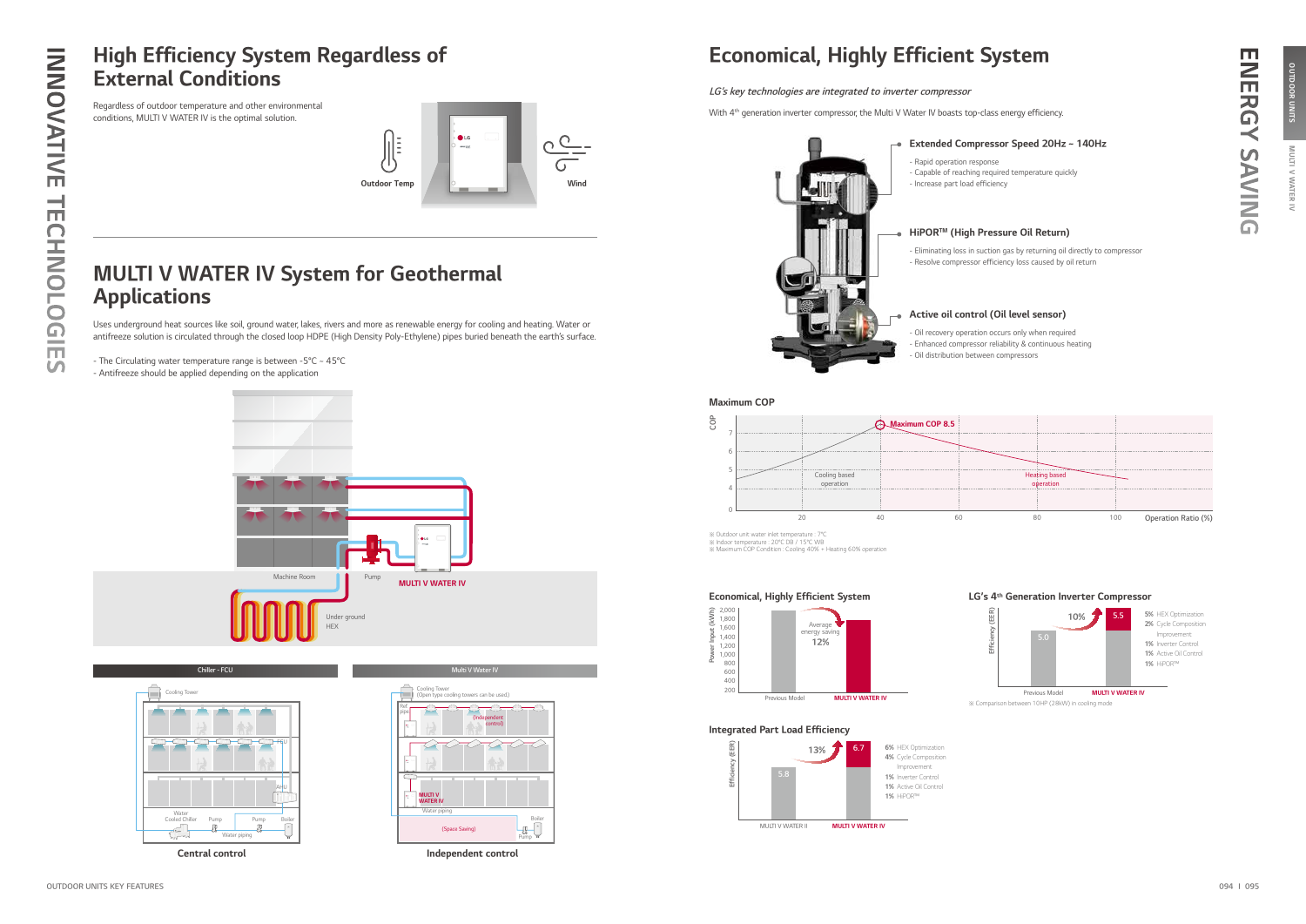

Central control





Independent control

## High Efficiency System Regardless of External Conditions

## MULTI V WATER IV System for Geothermal Applications



Regardless of outdoor temperature and other environmental conditions, MULTI V WATER IV is the optimal solution.

Uses underground heat sources like soil, ground water, lakes, rivers and more as renewable energy for cooling and heating. Water or antifreeze solution is circulated through the closed loop HDPE (High Density Poly-Ethylene) pipes buried beneath the earth's surface.

- The Circulating water temperature range is between -5°C ~ 45°C - Antifreeze should be applied depending on the application

## Economical, Highly Efficient System

### Extended Compressor Speed 20Hz ~ 140Hz

- Capable of reaching required temperature quickly

### HiPORTM (High Pressure Oil Return)

- Eliminating loss in suction gas by returning oil directly to compressor - Resolve compressor efficiency loss caused by oil return



### Active oil control (Oil level sensor)

- Oil recovery operation occurs only when required - Enhanced compressor reliability & continuous heating

# m ENERGY SAVING **INERGY SAVING**





※ Outdoor unit water inlet temperature : 7°C ※ Indoor temperature : 20°C DB / 15°C WB ※ Maximum COP Condition : Cooling 40% + Heating 60% operation



### LG's key technologies are integrated to inverter compressor

With 4<sup>th</sup> generation inverter compressor, the Multi V Water IV boasts top-class energy efficiency.

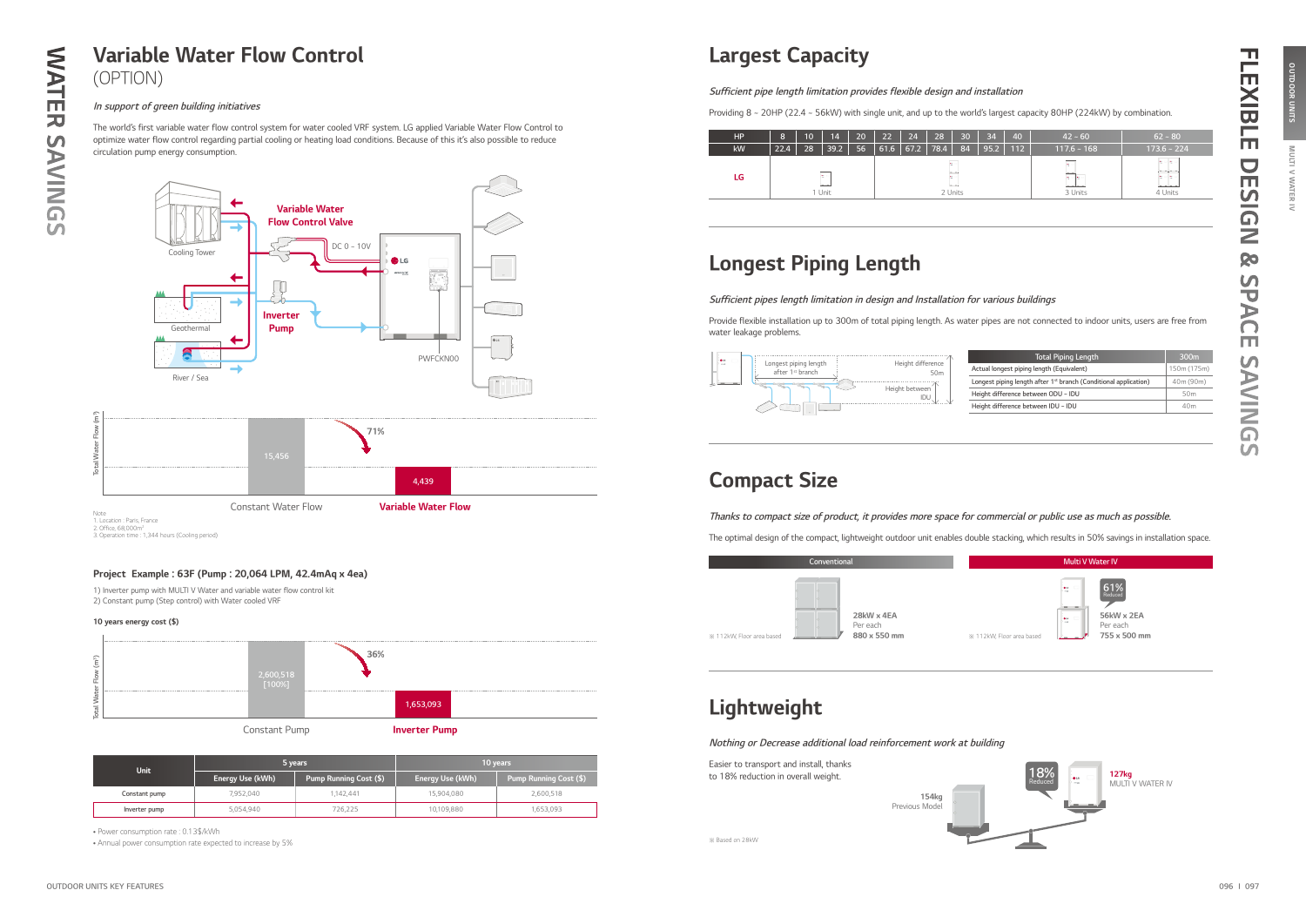

1) Inverter pump with MULTI V Water and variable water flow control kit 2) Constant pump (Step control) with Water cooled VRF

### Project Example : 63F (Pump : 20,064 LPM, 42.4mAq x 4ea)

### 10 years energy cost (\$)



• Power consumption rate : 0.13\$/kWh

DESIGN

**Qo** 

SPACE

**SAVINGS** 

# OUTDOOR UNITS MULTI V WATER IV OUTDOOR UNITS MULTI V WATER IV

• Annual power consumption rate expected to increase by 5%

| <b>Unit</b>   |                  | 5 years                | 10 years         |                               |  |
|---------------|------------------|------------------------|------------------|-------------------------------|--|
|               | Energy Use (kWh) | Pump Running Cost (\$) | Energy Use (kWh) | <b>Pump Running Cost (\$)</b> |  |
| Constant pump | 7.952.040        | .142.441               | 15,904,080       | 2,600,518                     |  |
| Inverter pump | 5,054,940        | 726,225                | 10,109,880       | 1,653,093                     |  |

### In support of green building initiatives

The world's first variable water flow control system for water cooled VRF system. LG applied Variable Water Flow Control to optimize water flow control regarding partial cooling or heating load conditions. Because of this it's also possible to reduce circulation pump energy consumption.

## Largest Capacity

## Lightweight

Nothing or Decrease additional load reinforcement work at building

Easier to transport and install, thanks to 18% reduction in overall weight.

※ Based on 28kW



## Compact Size

Thanks to compact size of product, it provides more space for commercial or public use as much as possible.

The optimal design of the compact, lightweight outdoor unit enables double stacking, which results in 50% savings in installation space.





755 x 500 mm

| <b>HP</b> | 8    | 10 | 14                                   | 20 | 22   | 24   | 28      | 30                                        | 34   | 40  | $42 - 60$                                                     | $62 - 80$                                                                                                 |
|-----------|------|----|--------------------------------------|----|------|------|---------|-------------------------------------------|------|-----|---------------------------------------------------------------|-----------------------------------------------------------------------------------------------------------|
| kW        | 22.4 | 28 | 39.2                                 | 56 | 61.6 | 67.2 | 78.4    | 84                                        | 95.2 | 112 | $117.6 - 168$                                                 | $173.6 - 224$                                                                                             |
| LG        |      |    | <b>Section</b><br>Service of<br>Unit |    |      |      | and the | <b>Contractor</b><br>Services.<br>2 Units |      |     | la control<br>$- - -$<br>le olle i<br>benediction.<br>3 Units | <b>Professional</b><br>in a state of the con-<br><b>Contract</b><br>line a<br>the complete way<br>4 Units |

Sufficient pipe length limitation provides flexible design and installation

Providing 8 ~ 20HP (22.4 ~ 56kW) with single unit, and up to the world's largest capacity 80HP (224kW) by combination.

## Longest Piping Length

| Total Piping Length                                                          | 300 <sub>m</sub> |
|------------------------------------------------------------------------------|------------------|
| Actual longest piping length (Equivalent)                                    | 150m (175m)      |
| Longest piping length after 1 <sup>st</sup> branch (Conditional application) | 40m (90m)        |
| Height difference between ODU ~ IDU                                          | 50 <sub>m</sub>  |
| Height difference between IDU ~ IDU                                          | 40m              |
|                                                                              |                  |



Sufficient pipes length limitation in design and Installation for various buildings

Provide flexible installation up to 300m of total piping length. As water pipes are not connected to indoor units, users are free from water leakage problems.

## Variable Water Flow Control (OPTION)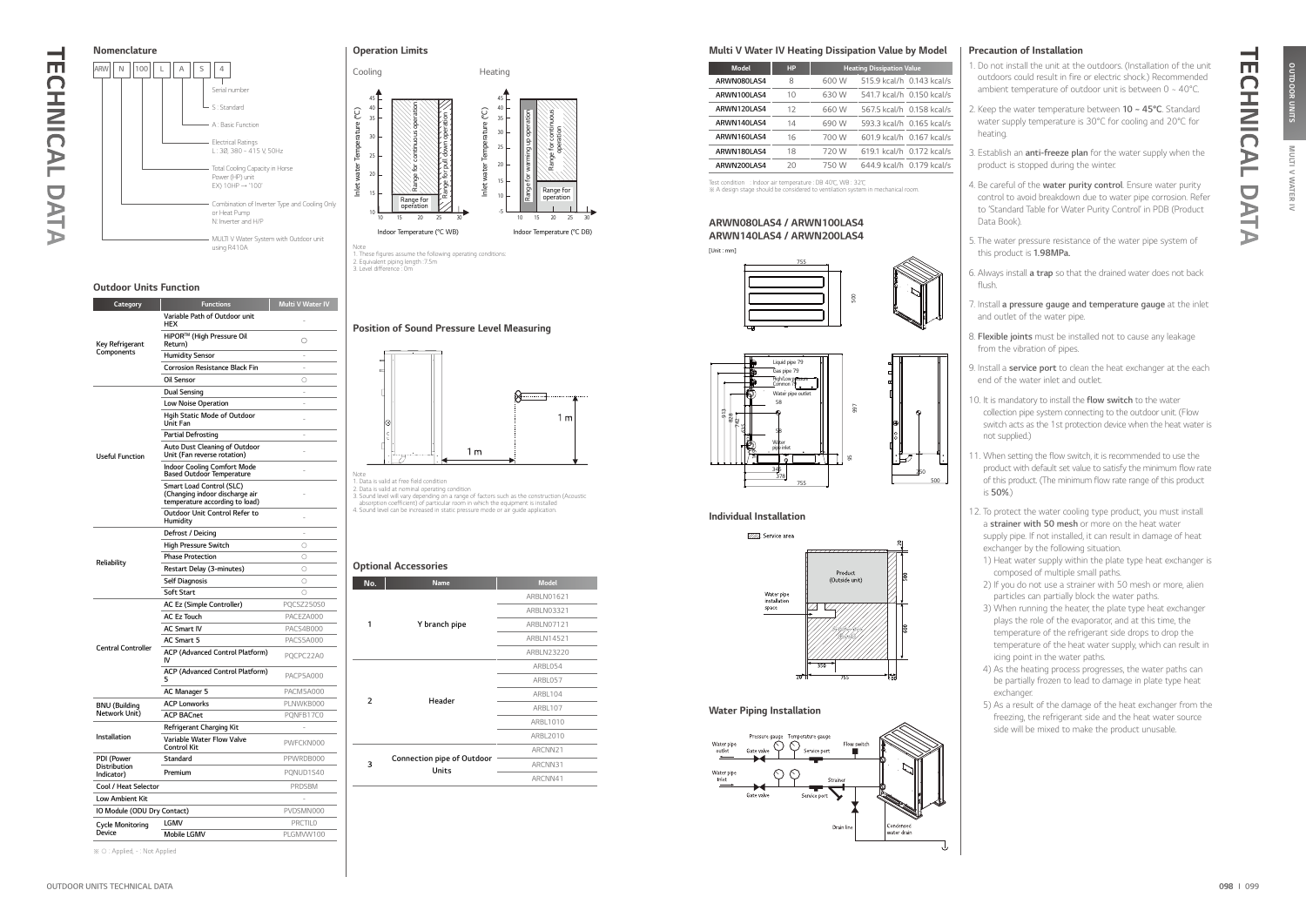

1. Data is valid at free field condition<br>2. Data is valid at nominal operating condition<br>3. Sound level will vary depending on a range of factors such as the construction (Acoustic<br>absorption coefficient) of particular roo

### Outdoor Units Function

Category Functions Multi V Water IV



|                               | Variable Path of Outdoor unit<br>HEX                                                         |                  |
|-------------------------------|----------------------------------------------------------------------------------------------|------------------|
| Key Refrigerant<br>Components | HiPOR™ (High Pressure Oil<br>Return)                                                         | О                |
|                               | <b>Humidity Sensor</b>                                                                       |                  |
|                               | <b>Corrosion Resistance Black Fin</b>                                                        |                  |
|                               | Oil Sensor                                                                                   | 0                |
|                               | Dual Sensing                                                                                 | ÷.               |
|                               | <b>Low Noise Operation</b>                                                                   |                  |
|                               | Hgih Static Mode of Outdoor<br>Unit Fan                                                      |                  |
|                               | Partial Defrosting                                                                           | ÷,               |
| <b>Useful Function</b>        | Auto Dust Cleaning of Outdoor<br>Unit (Fan reverse rotation)                                 |                  |
|                               | <b>Indoor Cooling Comfort Mode</b><br><b>Based Outdoor Temperature</b>                       |                  |
|                               | Smart Load Control (SLC)<br>(Changing indoor discharge air<br>temperature according to load) |                  |
|                               | <b>Outdoor Unit Control Refer to</b><br>Humidity                                             |                  |
|                               | Defrost / Deicing                                                                            |                  |
|                               | <b>High Pressure Switch</b>                                                                  | $\circ$          |
| Reliability                   | <b>Phase Protection</b>                                                                      | $\circ$          |
|                               | Restart Delay (3-minutes)                                                                    | $\bigcap$        |
|                               | <b>Self Diagnosis</b>                                                                        | $\circ$          |
|                               | Soft Start                                                                                   | $\circ$          |
|                               | AC Ez (Simple Controller)                                                                    | PQCSZ250S0       |
|                               | <b>AC Ez Touch</b>                                                                           | PACEZA000        |
|                               | <b>AC Smart IV</b>                                                                           | <b>PACS4B000</b> |
| <b>Central Controller</b>     | AC Smart 5                                                                                   | PACS5A000        |
|                               | ACP (Advanced Control Platform)<br>IV                                                        | PQCPC22A0        |
|                               | ACP (Advanced Control Platform)                                                              | PACP5A000        |
|                               | AC Manager 5                                                                                 | PACM5A000        |
| <b>BNU</b> (Building          | <b>ACP Lonworks</b>                                                                          | PLNWKB000        |
| Network Unit)                 | <b>ACP BACnet</b>                                                                            | PQNFB17C0        |
|                               | Refrigerant Charging Kit                                                                     |                  |
| <b>Installation</b>           | Variable Water Flow Valve<br>Control Kit                                                     | PWFCKN000        |
| PDI (Power                    | Standard                                                                                     | PPWRDB000        |
| Distribution<br>Indicator)    | Premium                                                                                      | PQNUD1S40        |
| Cool / Heat Selector          |                                                                                              | <b>PRDSBM</b>    |
| Low Ambient Kit               |                                                                                              |                  |
| IO Module (ODU Dry Contact)   |                                                                                              | PVDSMN000        |
| <b>Cycle Monitoring</b>       | lgmv                                                                                         | <b>PRCTILO</b>   |
| Device                        | <b>Mobile LGMV</b>                                                                           | PLGMVW100        |

1. Do not install the unit at the outdoors. (Installation of the unit outdoors could result in fire or electric shock.) Recommended ambient temperature of outdoor unit is between  $0 \sim 40^{\circ}$ C.

| No.            | <b>Name</b>                                | <b>Model</b> |  |
|----------------|--------------------------------------------|--------------|--|
|                |                                            | ARBLN01621   |  |
|                |                                            | ARBLN03321   |  |
| 1              | Y branch pipe                              | ARBLN07121   |  |
|                |                                            | ARBLN14521   |  |
|                |                                            | ARBLN23220   |  |
|                |                                            | ARBL054      |  |
|                |                                            | ARBL057      |  |
| $\overline{2}$ | Header                                     | ARBL104      |  |
|                |                                            | ARBL107      |  |
|                |                                            | ARBL1010     |  |
|                |                                            | ARBL2010     |  |
|                |                                            | ARCNN21      |  |
| 3              | <b>Connection pipe of Outdoor</b><br>Units | ARCNN31      |  |
|                |                                            | ARCNN41      |  |
|                |                                            |              |  |

### Position of Sound Pressure Level Measuring

### Optional Accessories

Note 1. These figures assume the following operating conditions: 2. Equivalent piping length :7.5m 3. Level difference : 0m





### Multi V Water IV Heating Dissipation Value by Model

### Individual Installation

 $\frac{8}{10}$ প্ল 635 742 828 त्र

### Water Piping Installation



WATER IV

- 2. Keep the water temperature between  $10 45^{\circ}$ C. Standard water supply temperature is 30°C for cooling and 20°C for heating.
- 3. Establish an **anti-freeze plan** for the water supply when the product is stopped during the winter.
- 4. Be careful of the water purity control. Ensure water purity control to avoid breakdown due to water pipe corrosion. Refer to 'Standard Table for Water Purity Control' in PDB (Product Data Book).
- 5. The water pressure resistance of the water pipe system of this product is 1.98MPa.
- 6. Always install a trap so that the drained water does not back flush.
- 7. Install a pressure gauge and temperature gauge at the inlet and outlet of the water pipe.
- 8. Flexible joints must be installed not to cause any leakage from the vibration of pipes.
- 9. Install a **service port** to clean the heat exchanger at the each end of the water inlet and outlet.
- 10. It is mandatory to install the flow switch to the water collection pipe system connecting to the outdoor unit. (Flow switch acts as the 1st protection device when the heat water is not supplied.)
- 11. When setting the flow switch, it is recommended to use the product with default set value to satisfy the minimum flow rate of this product. (The minimum flow rate range of this product is 50%.)
- 12. To protect the water cooling type product, you must install a strainer with 50 mesh or more on the heat water supply pipe. If not installed, it can result in damage of heat exchanger by the following situation.
- 1) Heat water supply within the plate type heat exchanger is composed of multiple small paths.
- 2) If you do not use a strainer with 50 mesh or more, alien particles can partially block the water paths.
- 3) When running the heater, the plate type heat exchanger plays the role of the evaporator, and at this time, the temperature of the refrigerant side drops to drop the temperature of the heat water supply, which can result in icing point in the water paths.
- 4) As the heating process progresses, the water paths can be partially frozen to lead to damage in plate type heat exchanger.
- 5) As a result of the damage of the heat exchanger from the freezing, the refrigerant side and the heat water source side will be mixed to make the product unusable.

| <b>Model</b> | HP | <b>Heating Dissipation Value</b> |                           |  |  |  |
|--------------|----|----------------------------------|---------------------------|--|--|--|
| ARWN080LAS4  | 8  | 600 W                            | 515.9 kcal/h 0.143 kcal/s |  |  |  |
| ARWN100LAS4  | 10 | 630 W                            | 541.7 kcal/h 0.150 kcal/s |  |  |  |
| ARWN120LAS4  | 12 | 660 W                            | 567.5 kcal/h 0.158 kcal/s |  |  |  |
| ARWN140LAS4  | 14 | 690 W                            | 593.3 kcal/h 0.165 kcal/s |  |  |  |
| ARWN160LAS4  | 16 | 700 W                            | 601.9 kcal/h 0.167 kcal/s |  |  |  |
| ARWN180LAS4  | 18 | 720 W                            | 619.1 kcal/h 0.172 kcal/s |  |  |  |
| ARWN200LAS4  | 20 | 750 W                            | 644.9 kcal/h 0.179 kcal/s |  |  |  |

Test condition : Indoor air temperature : DB 40℃, WB : 32℃ ※ A design stage should be considered to ventilation system in mechanical room.

### ARWN080LAS4 / ARWN100LAS4 ARWN140LAS4 / ARWN200LAS4

[Unit : mm]



### Precaution of Installation

755

755

378

Water pipe inlet





95



 $\mathrel{\mathop:} \equiv$ 

345



TECHNICAL DATA

DAT

 $\blacktriangleright$ 

**CHNICAL** 

⊣ mi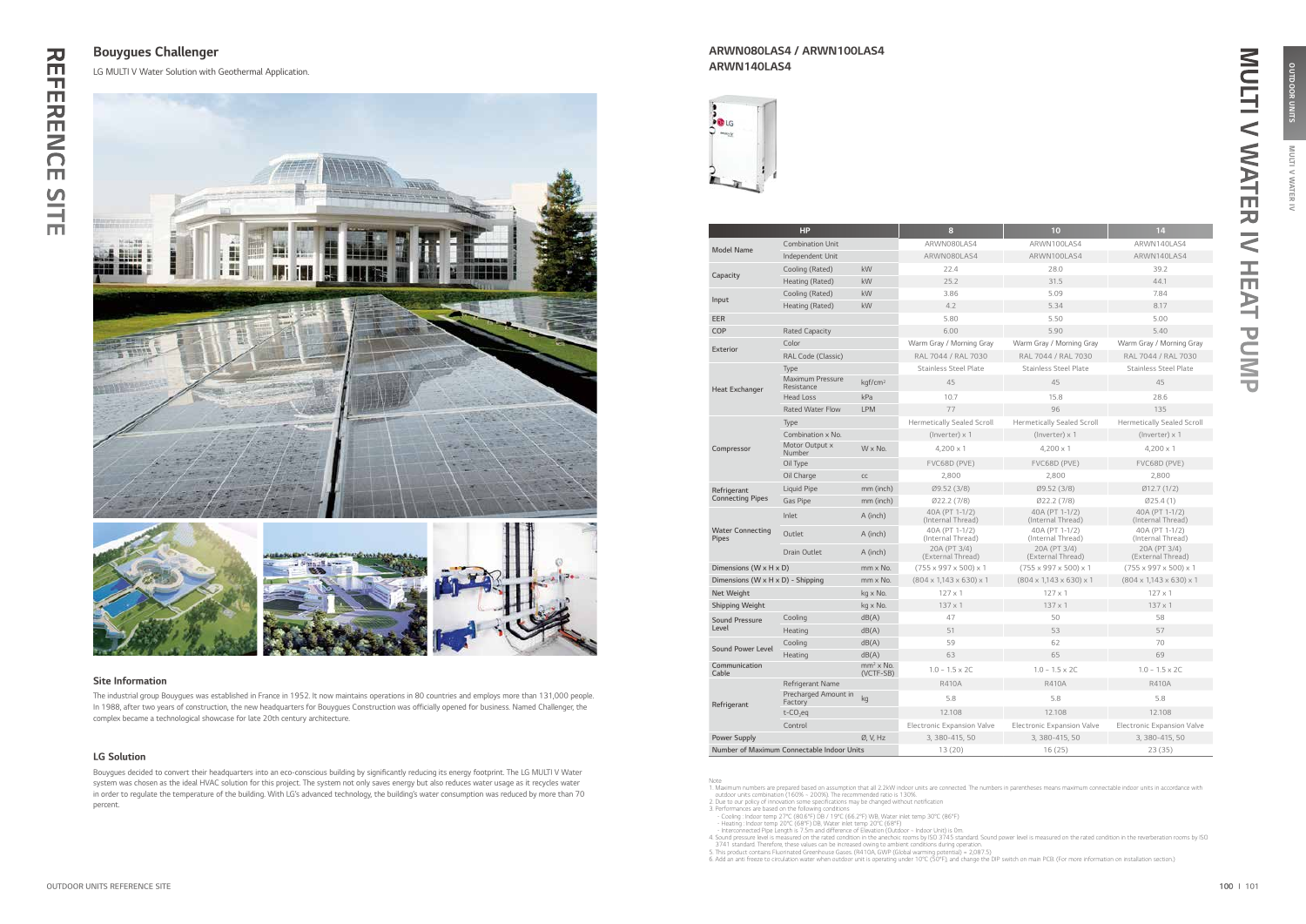## 끊 REFERENCE SITE  $\blacksquare$  $\blacksquare$ **RENCE**

SITE

MULTI V WATER IV OUTDOOR UNITS

**MULTI** 

ER IV

OUTDOOR UNITS

|                                         | HP                                         |                          | 8                                        | 10                                       | 14                                       |
|-----------------------------------------|--------------------------------------------|--------------------------|------------------------------------------|------------------------------------------|------------------------------------------|
| <b>Model Name</b>                       | <b>Combination Unit</b>                    |                          | ARWN080LAS4                              | ARWN100LAS4                              | ARWN140LAS4                              |
|                                         | Independent Unit                           |                          | ARWN080LAS4                              | ARWN100LAS4                              | ARWN140LAS4                              |
|                                         | Cooling (Rated)                            | kW                       | 22.4                                     | 28.0                                     | 39.2                                     |
| Capacity                                | Heating (Rated)                            | kW                       | 25.2                                     | 31.5                                     | 44.1                                     |
| Input                                   | Cooling (Rated)                            | kW                       | 3.86                                     | 5.09                                     | 7.84                                     |
|                                         | Heating (Rated)                            | kW                       | 4.2                                      | 5.34                                     | 8.17                                     |
| <b>EER</b>                              |                                            |                          | 5.80                                     | 5.50                                     | 5.00                                     |
| COP                                     | <b>Rated Capacity</b>                      |                          | 6.00                                     | 5.90                                     | 5.40                                     |
| <b>Exterior</b>                         | Color                                      |                          | Warm Gray / Morning Gray                 | Warm Gray / Morning Gray                 | Warm Gray / Morning Gray                 |
|                                         | RAL Code (Classic)                         |                          | RAL 7044 / RAL 7030                      | RAL 7044 / RAL 7030                      | RAL 7044 / RAL 7030                      |
|                                         | Type                                       |                          | <b>Stainless Steel Plate</b>             | <b>Stainless Steel Plate</b>             | <b>Stainless Steel Plate</b>             |
| <b>Heat Exchanger</b>                   | <b>Maximum Pressure</b><br>Resistance      | kgf/cm <sup>2</sup>      | 45                                       | 45                                       | 45                                       |
|                                         | <b>Head Loss</b>                           | kPa                      | 10.7                                     | 15.8                                     | 28.6                                     |
|                                         | <b>Rated Water Flow</b>                    | <b>LPM</b>               | 77                                       | 96                                       | 135                                      |
|                                         | Type                                       |                          | <b>Hermetically Sealed Scroll</b>        | <b>Hermetically Sealed Scroll</b>        | <b>Hermetically Sealed Scroll</b>        |
|                                         | Combination x No.                          |                          | $(Inverse) \times 1$                     | (Inverter) x 1                           | (Inverter) x 1                           |
| Compressor                              | Motor Output x<br>Number                   | W x No.                  | $4,200 \times 1$                         | $4,200 \times 1$                         | $4,200 \times 1$                         |
|                                         | Oil Type                                   |                          | FVC68D (PVE)                             | FVC68D (PVE)                             | FVC68D (PVE)                             |
|                                         | Oil Charge                                 | CC                       | 2,800                                    | 2,800                                    | 2,800                                    |
| Refrigerant                             | Liquid Pipe                                | mm (inch)                | Ø9.52 (3/8)                              | Ø9.52 (3/8)                              | Ø12.7(1/2)                               |
| <b>Connecting Pipes</b>                 | <b>Gas Pipe</b>                            | mm (inch)                | Ø22.2(7/8)                               | Ø22.2(7/8)                               | Ø25.4(1)                                 |
|                                         | Inlet                                      | A (inch)                 | 40A (PT 1-1/2)<br>(Internal Thread)      | 40A (PT 1-1/2)<br>(Internal Thread)      | 40A (PT 1-1/2)<br>(Internal Thread)      |
| <b>Water Connecting</b><br><b>Pipes</b> | Outlet                                     | A (inch)                 | 40A (PT 1-1/2)<br>(Internal Thread)      | 40A (PT 1-1/2)<br>(Internal Thread)      | 40A (PT 1-1/2)<br>(Internal Thread)      |
|                                         | <b>Drain Outlet</b>                        | A (inch)                 | 20A (PT 3/4)<br>(External Thread)        | 20A (PT 3/4)<br>(External Thread)        | 20A (PT 3/4)<br>(External Thread)        |
| Dimensions (W x H x D)                  |                                            | mm x No.                 | $(755 \times 997 \times 500) \times 1$   | $(755 \times 997 \times 500) \times 1$   | $(755 \times 997 \times 500) \times 1$   |
| Dimensions (W x H x D) - Shipping       |                                            | mm x No.                 | $(804 \times 1,143 \times 630) \times 1$ | $(804 \times 1,143 \times 630) \times 1$ | $(804 \times 1,143 \times 630) \times 1$ |
| Net Weight                              |                                            | kg x No.                 | $127 \times 1$                           | $127 \times 1$                           | $127 \times 1$                           |
| <b>Shipping Weight</b>                  |                                            | kg x No.                 | $137 \times 1$                           | $137 \times 1$                           | $137 \times 1$                           |
| <b>Sound Pressure</b>                   | Cooling                                    | dB(A)                    | 47                                       | 50                                       | 58                                       |
| Level                                   | Heating                                    | dB(A)                    | 51                                       | 53                                       | 57                                       |
| <b>Sound Power Level</b>                | Cooling                                    | dB(A)                    | 59                                       | 62                                       | 70                                       |
|                                         | Heating                                    | dB(A)                    | 63                                       | 65                                       | 69                                       |
| Communication<br>Cable                  |                                            | $mm2$ x No.<br>(VCTF-SB) | $1.0 - 1.5 \times 2C$                    | $1.0 - 1.5 \times 2C$                    | $1.0 - 1.5 \times 2C$                    |
|                                         | Refrigerant Name                           |                          | <b>R410A</b>                             | <b>R410A</b>                             | <b>R410A</b>                             |
| Refrigerant                             | Precharged Amount in<br>Factory            | kg                       | 5.8                                      | 5.8                                      | 5.8                                      |
|                                         | $t$ -CO <sub>2</sub> eq                    |                          | 12,108                                   | 12.108                                   | 12.108                                   |
|                                         | Control                                    |                          | <b>Electronic Expansion Valve</b>        | <b>Electronic Expansion Valve</b>        | Electronic Expansion Valve               |
| <b>Power Supply</b>                     |                                            | Ø, V, Hz                 | 3, 380-415, 50                           | 3, 380-415, 50                           | 3, 380-415, 50                           |
|                                         | Number of Maximum Connectable Indoor Units |                          | 13(20)                                   | 16(25)                                   | 23(35)                                   |

Note<br>
1. Maximum numbers are prepared based on assumption that all 2.2kW indoor units are connected. The numbers in parentheses means maximum connectable indoor units in accordance with<br>
1. Maximum numbers are prepared bas

The industrial group Bouygues was established in France in 1952. It now maintains operations in 80 countries and employs more than 131,000 people. In 1988, after two years of construction, the new headquarters for Bouygues Construction was officially opened for business. Named Challenger, the complex became a technological showcase for late 20th century architecture.

### Site Information

Bouygues decided to convert their headquarters into an eco-conscious building by significantly reducing its energy footprint. The LG MULTI V Water system was chosen as the ideal HVAC solution for this project. The system not only saves energy but also reduces water usage as it recycles water in order to regulate the temperature of the building. With LG's advanced technology, the building's water consumption was reduced by more than 70 percent.

### LG Solution

Bouygues Challenger

LG MULTI V Water Solution with Geothermal Application.



### ARWN080LAS4 / ARWN100LAS4 ARWN140LAS4



MULTI V WATER IV HEAT PUMP

舌

 $\ddot{\mathbf{z}}$ 

PUMP

MULTI V WATER IV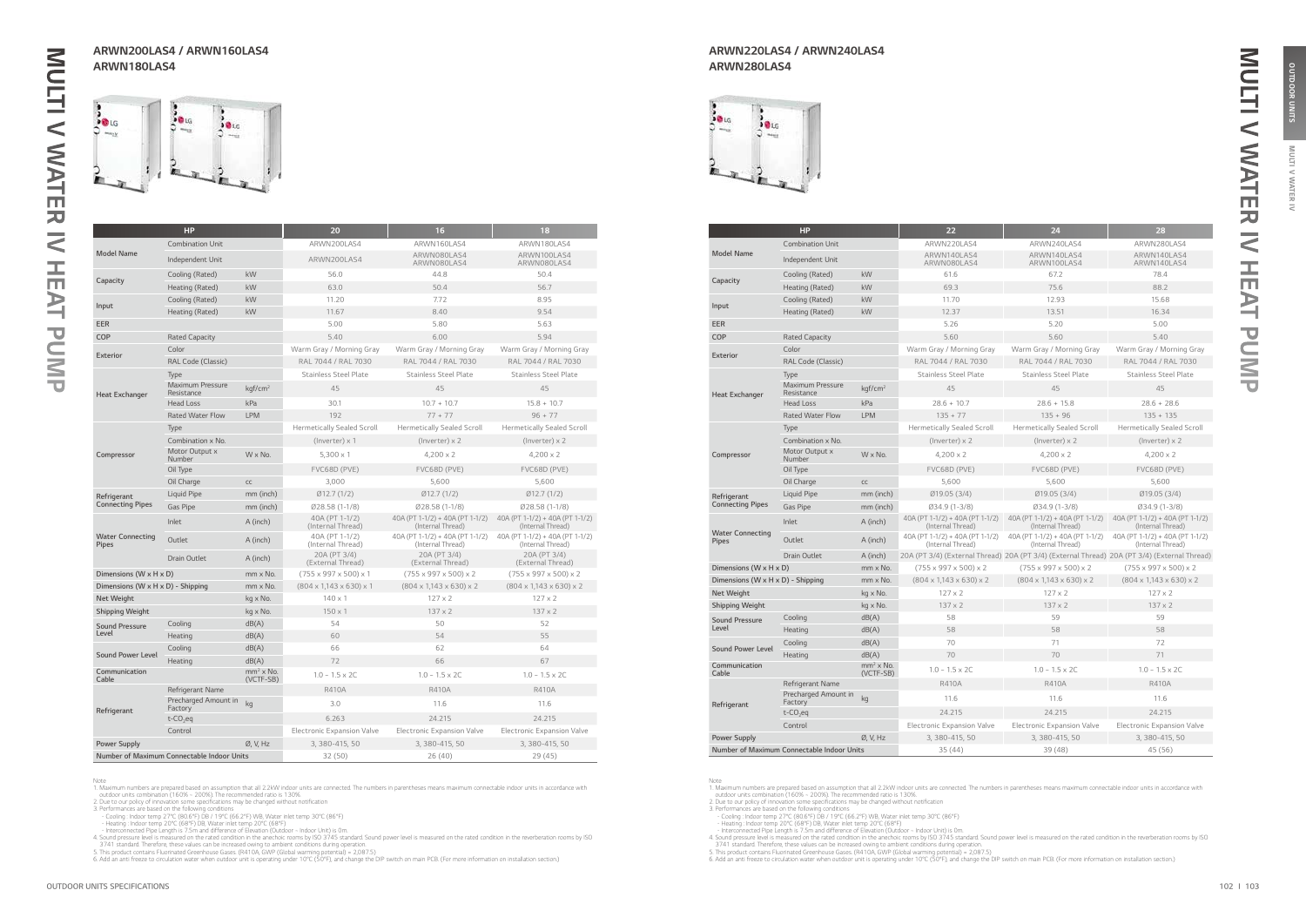**MULTI** 

**IAN** 虱  $\tilde{z}$ 

OUTDOOR UNITS

|                                         | <b>HP</b>                                  |                          | 20                                       | 16                                                   | 18                                                   |
|-----------------------------------------|--------------------------------------------|--------------------------|------------------------------------------|------------------------------------------------------|------------------------------------------------------|
|                                         | <b>Combination Unit</b>                    |                          | ARWN200LAS4                              | ARWN160LAS4                                          | ARWN180LAS4                                          |
| <b>Model Name</b>                       | Independent Unit                           |                          | ARWN200LAS4                              | ARWN080LAS4<br>ARWN080LAS4                           | ARWN100LAS4<br>ARWN080LAS4                           |
|                                         | Cooling (Rated)                            | kW                       | 56.0                                     | 44.8                                                 | 50.4                                                 |
| Capacity                                | Heating (Rated)                            | kW                       | 63.0                                     | 50.4                                                 | 56.7                                                 |
|                                         | Cooling (Rated)                            | kW                       | 11.20                                    | 7.72                                                 | 8.95                                                 |
| Input                                   | Heating (Rated)                            | kW                       | 11.67                                    | 8.40                                                 | 9.54                                                 |
| EER                                     |                                            |                          | 5.00                                     | 5.80                                                 | 5.63                                                 |
| COP                                     | <b>Rated Capacity</b>                      |                          | 5.40                                     | 6.00                                                 | 5.94                                                 |
| <b>Exterior</b>                         | Color                                      |                          | Warm Gray / Morning Gray                 | Warm Gray / Morning Gray                             | Warm Gray / Morning Gray                             |
|                                         | RAL Code (Classic)                         |                          | RAL 7044 / RAL 7030                      | RAL 7044 / RAL 7030                                  | RAL 7044 / RAL 7030                                  |
|                                         | Type                                       |                          | <b>Stainless Steel Plate</b>             | <b>Stainless Steel Plate</b>                         | <b>Stainless Steel Plate</b>                         |
| <b>Heat Exchanger</b>                   | <b>Maximum Pressure</b><br>Resistance      | kgf/cm <sup>2</sup>      | 45                                       | 45                                                   | 45                                                   |
|                                         | <b>Head Loss</b>                           | kPa                      | 30.1                                     | $10.7 + 10.7$                                        | $15.8 + 10.7$                                        |
|                                         | <b>Rated Water Flow</b>                    | <b>LPM</b>               | 192                                      | $77 + 77$                                            | $96 + 77$                                            |
|                                         | Type                                       |                          | <b>Hermetically Sealed Scroll</b>        | <b>Hermetically Sealed Scroll</b>                    | <b>Hermetically Sealed Scroll</b>                    |
|                                         | Combination x No.                          |                          | (Inverter) $\times$ 1                    | $($ lnverter $) \times 2$                            | (Inverter) $\times$ 2                                |
| Compressor                              | Motor Output x<br>Number                   | W x No.                  | $5.300 \times 1$                         | $4,200 \times 2$                                     | $4,200 \times 2$                                     |
|                                         | Oil Type                                   |                          | FVC68D (PVE)                             | FVC68D (PVE)                                         | FVC68D (PVE)                                         |
|                                         | Oil Charge                                 | CC                       | 3,000                                    | 5,600                                                | 5,600                                                |
| Refrigerant                             | Liquid Pipe                                | mm (inch)                | Ø12.7(1/2)                               | Ø12.7(1/2)                                           | Ø12.7(1/2)                                           |
| <b>Connecting Pipes</b>                 | Gas Pipe                                   | mm (inch)                | $Ø28.58(1-1/8)$                          | Ø28.58 (1-1/8)                                       | Ø28.58 (1-1/8)                                       |
|                                         | Inlet                                      | A (inch)                 | 40A (PT 1-1/2)<br>(Internal Thread)      | 40A (PT 1-1/2) + 40A (PT 1-1/2)<br>(Internal Thread) | 40A (PT 1-1/2) + 40A (PT 1-1/2)<br>(Internal Thread) |
| <b>Water Connecting</b><br><b>Pipes</b> | Outlet                                     | A (inch)                 | 40A (PT 1-1/2)<br>(Internal Thread)      | 40A (PT 1-1/2) + 40A (PT 1-1/2)<br>(Internal Thread) | 40A (PT 1-1/2) + 40A (PT 1-1/2)<br>(Internal Thread) |
|                                         | <b>Drain Outlet</b>                        | A (inch)                 | 20A (PT 3/4)<br>(External Thread)        | 20A (PT 3/4)<br>(External Thread)                    | 20A (PT 3/4)<br>(External Thread)                    |
| Dimensions (W x H x D)                  |                                            | mm x No.                 | $(755 \times 997 \times 500) \times 1$   | $(755 \times 997 \times 500) \times 2$               | $(755 \times 997 \times 500) \times 2$               |
| Dimensions (W x H x D) - Shipping       |                                            | mm x No.                 | $(804 \times 1,143 \times 630) \times 1$ | $(804 \times 1,143 \times 630) \times 2$             | $(804 \times 1,143 \times 630) \times 2$             |
| <b>Net Weight</b>                       |                                            | kg x No.                 | $140 \times 1$                           | $127 \times 2$                                       | $127 \times 2$                                       |
| <b>Shipping Weight</b>                  |                                            | kg x No.                 | $150 \times 1$                           | $137 \times 2$                                       | $137 \times 2$                                       |
| <b>Sound Pressure</b>                   | Cooling                                    | dB(A)                    | 54                                       | 50                                                   | 52                                                   |
| Level                                   | Heating                                    | dB(A)                    | 60                                       | 54                                                   | 55                                                   |
| <b>Sound Power Level</b>                | Cooling                                    | dB(A)                    | 66                                       | 62                                                   | 64                                                   |
|                                         | Heating                                    | dB(A)                    | 72                                       | 66                                                   | 67                                                   |
| Communication<br>Cable                  |                                            | $mm2$ x No.<br>(VCTF-SB) | $1.0 - 1.5 \times 2C$                    | $1.0 - 1.5 \times 2C$                                | $1.0 - 1.5 \times 2C$                                |
|                                         | Refrigerant Name                           |                          | R410A                                    | R410A                                                | R410A                                                |
| Refrigerant                             | Precharged Amount in<br>Factory            | kg                       | 3.0                                      | 11.6                                                 | 11.6                                                 |
|                                         | $t$ -CO <sub>2</sub> eq                    |                          | 6.263                                    | 24.215                                               | 24.215                                               |
|                                         | Control                                    |                          | <b>Electronic Expansion Valve</b>        | Electronic Expansion Valve                           | <b>Electronic Expansion Valve</b>                    |
| <b>Power Supply</b>                     |                                            | Ø, V, Hz                 | 3, 380-415, 50                           | 3, 380-415, 50                                       | 3, 380-415, 50                                       |
|                                         | Number of Maximum Connectable Indoor Units |                          | 32 (50)                                  | 26(40)                                               | 29 (45)                                              |

Note<br>
1. Maximum numbers are prepared based on assumption that all 2.2kW indoor units are connected. The numbers in parentheses means maximum connectable indoor units in accordance with<br>
1. Maximum numbers are prepared bas



|                                         | HP                                         |                          | 22                                                   | 24                                                                                           | 28                                                   |
|-----------------------------------------|--------------------------------------------|--------------------------|------------------------------------------------------|----------------------------------------------------------------------------------------------|------------------------------------------------------|
|                                         | <b>Combination Unit</b>                    |                          | ARWN220LAS4                                          | ARWN240LAS4                                                                                  | ARWN280LAS4                                          |
| <b>Model Name</b>                       | Independent Unit                           |                          | ARWN140LAS4<br>ARWN080LAS4                           | ARWN140LAS4<br>ARWN100LAS4                                                                   | ARWN140LAS4<br>ARWN140LAS4                           |
| Capacity                                | Cooling (Rated)                            | kW                       | 61.6                                                 | 67.2                                                                                         | 78.4                                                 |
|                                         | Heating (Rated)                            | kW                       | 69.3                                                 | 75.6                                                                                         | 88.2                                                 |
| Input                                   | Cooling (Rated)                            | kW                       | 11.70                                                | 12.93                                                                                        | 15.68                                                |
|                                         | Heating (Rated)                            | kW                       | 12.37                                                | 13.51                                                                                        | 16.34                                                |
| <b>EER</b>                              |                                            |                          | 5.26                                                 | 5.20                                                                                         | 5.00                                                 |
| COP                                     | <b>Rated Capacity</b>                      |                          | 5.60                                                 | 5.60                                                                                         | 5.40                                                 |
| Exterior                                | Color                                      |                          | Warm Gray / Morning Gray                             | Warm Gray / Morning Gray                                                                     | Warm Gray / Morning Gray                             |
|                                         | RAL Code (Classic)                         |                          | RAL 7044 / RAL 7030                                  | RAL 7044 / RAL 7030                                                                          | RAL 7044 / RAL 7030                                  |
|                                         | Type                                       |                          | <b>Stainless Steel Plate</b>                         | <b>Stainless Steel Plate</b>                                                                 | <b>Stainless Steel Plate</b>                         |
| <b>Heat Exchanger</b>                   | <b>Maximum Pressure</b><br>Resistance      | kgf/cm <sup>2</sup>      | 45                                                   | 45                                                                                           | 45                                                   |
|                                         | <b>Head Loss</b>                           | kPa                      | $28.6 + 10.7$                                        | $28.6 + 15.8$                                                                                | $28.6 + 28.6$                                        |
|                                         | <b>Rated Water Flow</b>                    | <b>LPM</b>               | $135 + 77$                                           | $135 + 96$                                                                                   | $135 + 135$                                          |
|                                         | Type                                       |                          | <b>Hermetically Sealed Scroll</b>                    | <b>Hermetically Sealed Scroll</b>                                                            | <b>Hermetically Sealed Scroll</b>                    |
|                                         | Combination x No.                          |                          | (Inverter) x 2                                       | $($ lnverter $) \times 2$                                                                    | (Inverter) $\times$ 2                                |
| Compressor                              | Motor Output x<br>Number                   | $W \times No.$           | $4,200 \times 2$                                     | $4,200 \times 2$                                                                             | $4,200 \times 2$                                     |
|                                         | Oil Type                                   |                          | FVC68D (PVE)                                         | FVC68D (PVE)                                                                                 | FVC68D (PVE)                                         |
|                                         | Oil Charge                                 | cc                       | 5.600                                                | 5.600                                                                                        | 5.600                                                |
| Refrigerant                             | Liquid Pipe                                | mm (inch)                | Ø19.05 (3/4)                                         | Ø19.05 (3/4)                                                                                 | Ø19.05 (3/4)                                         |
| <b>Connecting Pipes</b>                 | <b>Gas Pipe</b>                            | mm (inch)                | Ø34.9 (1-3/8)                                        | Ø34.9 (1-3/8)                                                                                | Ø34.9 (1-3/8)                                        |
|                                         | Inlet                                      | A (inch)                 | 40A (PT 1-1/2) + 40A (PT 1-1/2)<br>(Internal Thread) | 40A (PT 1-1/2) + 40A (PT 1-1/2)<br>(Internal Thread)                                         | 40A (PT 1-1/2) + 40A (PT 1-1/2)<br>(Internal Thread) |
| <b>Water Connecting</b><br><b>Pipes</b> | Outlet                                     | A (inch)                 | 40A (PT 1-1/2) + 40A (PT 1-1/2)<br>(Internal Thread) | 40A (PT 1-1/2) + 40A (PT 1-1/2)<br>(Internal Thread)                                         | 40A (PT 1-1/2) + 40A (PT 1-1/2)<br>(Internal Thread) |
|                                         | Drain Outlet                               | A (inch)                 |                                                      | 20A (PT 3/4) (External Thread) 20A (PT 3/4) (External Thread) 20A (PT 3/4) (External Thread) |                                                      |
| Dimensions (W x H x D)                  |                                            | mm x No.                 | $(755 \times 997 \times 500) \times 2$               | $(755 \times 997 \times 500) \times 2$                                                       | $(755 \times 997 \times 500) \times 2$               |
| Dimensions (W x H x D) - Shipping       |                                            | mm x No.                 | $(804 \times 1,143 \times 630) \times 2$             | $(804 \times 1,143 \times 630) \times 2$                                                     | $(804 \times 1,143 \times 630) \times 2$             |
| <b>Net Weight</b>                       |                                            | kg x No.                 | $127 \times 2$                                       | $127 \times 2$                                                                               | $127 \times 2$                                       |
| Shipping Weight                         |                                            | kg x No.                 | $137 \times 2$                                       | $137 \times 2$                                                                               | $137 \times 2$                                       |
| <b>Sound Pressure</b>                   | Cooling                                    | dB(A)                    | 58                                                   | 59                                                                                           | 59                                                   |
| Level                                   | Heating                                    | dB(A)                    | 58                                                   | 58                                                                                           | 58                                                   |
| <b>Sound Power Level</b>                | Cooling                                    | dB(A)                    | 70                                                   | 71                                                                                           | 72                                                   |
|                                         | Heating                                    | dB(A)                    | 70                                                   | 70                                                                                           | 71                                                   |
| Communication<br>Cable                  |                                            | $mm2$ x No.<br>(VCTF-SB) | $1.0 - 1.5 \times 2C$                                | $1.0 - 1.5 \times 2C$                                                                        | $1.0 - 1.5 \times 2C$                                |
|                                         | Refrigerant Name                           |                          | <b>R410A</b>                                         | R410A                                                                                        | R410A                                                |
| Refrigerant                             | Precharged Amount in<br>Factory            | kg                       | 11.6                                                 | 11.6                                                                                         | 11.6                                                 |
|                                         | $t$ -CO <sub>2</sub> eq                    |                          | 24.215                                               | 24.215                                                                                       | 24.215                                               |
|                                         | Control                                    |                          | <b>Electronic Expansion Valve</b>                    | <b>Electronic Expansion Valve</b>                                                            | Electronic Expansion Valve                           |
| <b>Power Supply</b>                     |                                            | Ø, V, Hz                 | 3, 380-415, 50                                       | 3, 380-415, 50                                                                               | 3, 380-415, 50                                       |
|                                         | Number of Maximum Connectable Indoor Units |                          | 35(44)                                               | 39 (48)                                                                                      | 45 (56)                                              |

Note<br>
1. Maximum numbers are prepared based on assumption that all 2.2kW indoor units are connected. The numbers in parentheses means maximum connectable indoor units in accordance with<br>
1. Maximum numbers are prepared bas

### ARWN200LAS4 / ARWN160LAS4 ARWN180LAS4

### ARWN220LAS4 / ARWN240LAS4 ARWN280LAS4

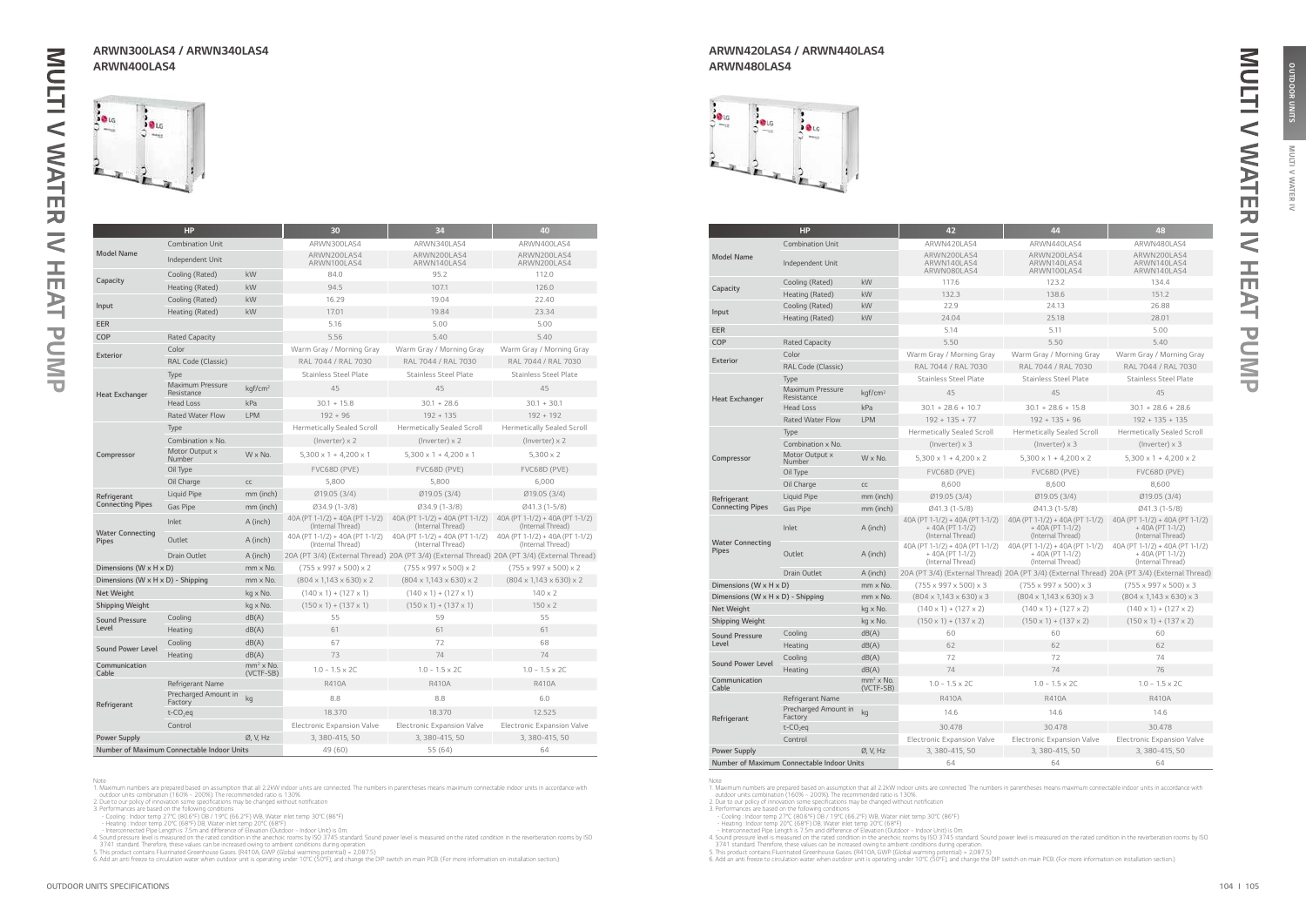**MULTI** 

**IAN** 虱  $\tilde{z}$ 

OUTDOOR UNITS

|                                   | <b>HP</b>                                  |                          | 30                                                   | 34                                                                                           | 40                                                   |
|-----------------------------------|--------------------------------------------|--------------------------|------------------------------------------------------|----------------------------------------------------------------------------------------------|------------------------------------------------------|
|                                   | <b>Combination Unit</b>                    |                          | ARWN300LAS4                                          | ARWN340LAS4                                                                                  | ARWN400LAS4                                          |
| <b>Model Name</b>                 | Independent Unit                           |                          | ARWN200LAS4<br>ARWN100LAS4                           | ARWN200LAS4<br>ARWN140LAS4                                                                   | ARWN200LAS4<br>ARWN200LAS4                           |
|                                   | Cooling (Rated)                            | kW                       | 84.0                                                 | 95.2                                                                                         | 112.0                                                |
| Capacity                          | Heating (Rated)                            | kW                       | 94.5                                                 | 107.1                                                                                        | 126.0                                                |
|                                   | Cooling (Rated)                            | kW                       | 16.29                                                | 19.04                                                                                        | 22.40                                                |
| Input                             | Heating (Rated)                            | kW                       | 17.01                                                | 19.84                                                                                        | 23.34                                                |
| EER                               |                                            |                          | 5.16                                                 | 5.00                                                                                         | 5.00                                                 |
| COP                               | <b>Rated Capacity</b>                      |                          | 5.56                                                 | 5.40                                                                                         | 5.40                                                 |
| <b>Exterior</b>                   | Color                                      |                          | Warm Gray / Morning Gray                             | Warm Gray / Morning Gray                                                                     | Warm Gray / Morning Gray                             |
|                                   | RAL Code (Classic)                         |                          | RAL 7044 / RAL 7030                                  | RAL 7044 / RAL 7030                                                                          | RAL 7044 / RAL 7030                                  |
|                                   | Type                                       |                          | <b>Stainless Steel Plate</b>                         | <b>Stainless Steel Plate</b>                                                                 | <b>Stainless Steel Plate</b>                         |
| <b>Heat Exchanger</b>             | <b>Maximum Pressure</b><br>Resistance      | kgf/cm <sup>2</sup>      | 45                                                   | 45                                                                                           | 45                                                   |
|                                   | <b>Head Loss</b>                           | kPa                      | $30.1 + 15.8$                                        | $30.1 + 28.6$                                                                                | $30.1 + 30.1$                                        |
|                                   | <b>Rated Water Flow</b>                    | <b>LPM</b>               | $192 + 96$                                           | $192 + 135$                                                                                  | $192 + 192$                                          |
|                                   | Type                                       |                          | <b>Hermetically Sealed Scroll</b>                    | <b>Hermetically Sealed Scroll</b>                                                            | <b>Hermetically Sealed Scroll</b>                    |
|                                   | Combination x No.                          |                          | $($ lnverter $) \times 2$                            | $($ lnverter $) \times 2$                                                                    | $($ lnverter $) \times 2$                            |
| Compressor                        | Motor Output x<br>Number                   | $W \times No.$           | $5,300 \times 1 + 4,200 \times 1$                    | $5,300 \times 1 + 4,200 \times 1$                                                            | $5,300 \times 2$                                     |
|                                   | Oil Type                                   |                          | FVC68D (PVE)                                         | FVC68D (PVE)                                                                                 | FVC68D (PVE)                                         |
|                                   | Oil Charge                                 | cc                       | 5,800                                                | 5,800                                                                                        | 6,000                                                |
| Refrigerant                       | Liquid Pipe                                | mm (inch)                | Ø19.05 (3/4)                                         | Ø19.05 (3/4)                                                                                 | Ø19.05 (3/4)                                         |
| <b>Connecting Pipes</b>           | <b>Gas Pipe</b>                            | mm (inch)                | Ø34.9 (1-3/8)                                        | Ø34.9 (1-3/8)                                                                                | Ø41.3 (1-5/8)                                        |
|                                   | Inlet                                      | A (inch)                 | 40A (PT 1-1/2) + 40A (PT 1-1/2)<br>(Internal Thread) | 40A (PT 1-1/2) + 40A (PT 1-1/2)<br>(Internal Thread)                                         | 40A (PT 1-1/2) + 40A (PT 1-1/2)<br>(Internal Thread) |
| <b>Water Connecting</b><br>Pipes  | Outlet                                     | A (inch)                 | 40A (PT 1-1/2) + 40A (PT 1-1/2)<br>(Internal Thread) | 40A (PT 1-1/2) + 40A (PT 1-1/2)<br>(Internal Thread)                                         | 40A (PT 1-1/2) + 40A (PT 1-1/2)<br>(Internal Thread) |
|                                   | Drain Outlet                               | A (inch)                 |                                                      | 20A (PT 3/4) (External Thread) 20A (PT 3/4) (External Thread) 20A (PT 3/4) (External Thread) |                                                      |
| Dimensions (W x H x D)            |                                            | mm x No.                 | $(755 \times 997 \times 500) \times 2$               | $(755 \times 997 \times 500) \times 2$                                                       | $(755 \times 997 \times 500) \times 2$               |
| Dimensions (W x H x D) - Shipping |                                            | mm x No.                 | $(804 \times 1,143 \times 630) \times 2$             | $(804 \times 1,143 \times 630) \times 2$                                                     | $(804 \times 1,143 \times 630) \times 2$             |
| Net Weight                        |                                            | kg x No.                 | $(140 \times 1) + (127 \times 1)$                    | $(140 \times 1) + (127 \times 1)$                                                            | $140 \times 2$                                       |
| Shipping Weight                   |                                            | kg x No.                 | $(150 \times 1) + (137 \times 1)$                    | $(150 \times 1) + (137 \times 1)$                                                            | $150 \times 2$                                       |
| <b>Sound Pressure</b>             | Cooling                                    | dB(A)                    | 55                                                   | 59                                                                                           | 55                                                   |
| Level                             | Heating                                    | dB(A)                    | 61                                                   | 61                                                                                           | 61                                                   |
| <b>Sound Power Level</b>          | Cooling                                    | dB(A)                    | 67                                                   | 72                                                                                           | 68                                                   |
|                                   | Heating                                    | dB(A)                    | 73                                                   | 74                                                                                           | 74                                                   |
| Communication<br>Cable            |                                            | $mm2$ x No.<br>(VCTF-SB) | $1.0 - 1.5 \times 2C$                                | $1.0 - 1.5 \times 2C$                                                                        | $1.0 - 1.5 \times 2C$                                |
|                                   | Refrigerant Name                           |                          | <b>R410A</b>                                         | <b>R410A</b>                                                                                 | <b>R410A</b>                                         |
| Refrigerant                       | Precharged Amount in<br>Factory            | kg                       | 8.8                                                  | 8.8                                                                                          | 6.0                                                  |
|                                   | $t$ -CO <sub>2</sub> eq                    |                          | 18,370                                               | 18.370                                                                                       | 12.525                                               |
|                                   | Control                                    |                          | <b>Electronic Expansion Valve</b>                    | <b>Electronic Expansion Valve</b>                                                            | <b>Electronic Expansion Valve</b>                    |
| <b>Power Supply</b>               |                                            | Ø, V, Hz                 | 3, 380-415, 50                                       | 3, 380-415, 50                                                                               | 3, 380-415, 50                                       |
|                                   | Number of Maximum Connectable Indoor Units |                          | 49 (60)                                              | 55(64)                                                                                       | 64                                                   |

Note<br>
1. Maximum numbers are prepared based on assumption that all 2.2kW indoor units are connected. The numbers in parentheses means maximum connectable indoor units in accordance with<br>
1. Maximum numbers are prepared bas

|                                                 | <b>HP</b>                                  |                          | 42                                                                        | 44                                                                                           | 48                                                                        |
|-------------------------------------------------|--------------------------------------------|--------------------------|---------------------------------------------------------------------------|----------------------------------------------------------------------------------------------|---------------------------------------------------------------------------|
|                                                 | <b>Combination Unit</b>                    |                          | ARWN420LAS4                                                               | ARWN440LAS4                                                                                  | ARWN480LAS4                                                               |
| <b>Model Name</b>                               | Independent Unit                           |                          | ARWN200LAS4<br>ARWN140LAS4<br>ARWN080LAS4                                 | ARWN200LAS4<br>ARWN140LAS4<br>ARWN100LAS4                                                    | ARWN200LAS4<br>ARWN140LAS4<br>ARWN140LAS4                                 |
|                                                 | Cooling (Rated)                            | kW                       | 117.6                                                                     | 123.2                                                                                        | 134.4                                                                     |
| Capacity                                        | Heating (Rated)                            | kW                       | 132.3                                                                     | 138.6                                                                                        | 151.2                                                                     |
| Input                                           | Cooling (Rated)                            | kW                       | 22.9                                                                      | 24.13                                                                                        | 26.88                                                                     |
|                                                 | Heating (Rated)                            | kW                       | 24.04                                                                     | 25.18                                                                                        | 28.01                                                                     |
| <b>EER</b>                                      |                                            |                          | 5.14                                                                      | 5.11                                                                                         | 5.00                                                                      |
| <b>COP</b>                                      | <b>Rated Capacity</b>                      |                          | 5.50                                                                      | 5.50                                                                                         | 5.40                                                                      |
| <b>Exterior</b>                                 | Color                                      |                          | Warm Gray / Morning Gray                                                  | Warm Gray / Morning Gray                                                                     | Warm Gray / Morning Gray                                                  |
|                                                 | RAL Code (Classic)                         |                          | RAL 7044 / RAL 7030                                                       | RAL 7044 / RAL 7030                                                                          | RAL 7044 / RAL 7030                                                       |
|                                                 | Type                                       |                          | <b>Stainless Steel Plate</b>                                              | <b>Stainless Steel Plate</b>                                                                 | <b>Stainless Steel Plate</b>                                              |
| <b>Heat Exchanger</b>                           | <b>Maximum Pressure</b><br>Resistance      | kqf/cm <sup>2</sup>      | 45                                                                        | 45                                                                                           | 45                                                                        |
|                                                 | <b>Head Loss</b>                           | kPa                      | $30.1 + 28.6 + 10.7$                                                      | $30.1 + 28.6 + 15.8$                                                                         | $30.1 + 28.6 + 28.6$                                                      |
|                                                 | <b>Rated Water Flow</b>                    | <b>LPM</b>               | $192 + 135 + 77$                                                          | $192 + 135 + 96$                                                                             | $192 + 135 + 135$                                                         |
|                                                 | Type                                       |                          | <b>Hermetically Sealed Scroll</b>                                         | <b>Hermetically Sealed Scroll</b>                                                            | <b>Hermetically Sealed Scroll</b>                                         |
|                                                 | Combination x No.                          |                          | $($ lnverter $) \times 3$                                                 | $($ lnverter $) \times 3$                                                                    | $(Inverse) \times 3$                                                      |
| Compressor                                      | Motor Output x<br>Number                   | $W \times No.$           | $5.300 \times 1 + 4.200 \times 2$                                         | $5,300 \times 1 + 4,200 \times 2$                                                            | $5.300 \times 1 + 4.200 \times 2$                                         |
|                                                 | Oil Type                                   |                          | FVC68D (PVE)                                                              | FVC68D (PVE)                                                                                 | FVC68D (PVE)                                                              |
|                                                 | Oil Charge                                 | CC                       | 8,600                                                                     | 8,600                                                                                        | 8,600                                                                     |
| Refrigerant                                     | Liquid Pipe                                | mm (inch)                | Ø19.05 (3/4)                                                              | Ø19.05 (3/4)                                                                                 | Ø19.05 (3/4)                                                              |
| <b>Connecting Pipes</b>                         | <b>Gas Pipe</b>                            | mm (inch)                | Ø41.3 (1-5/8)                                                             | Ø41.3 (1-5/8)                                                                                | $Ø41.3(1-5/8)$                                                            |
|                                                 | Inlet                                      | A (inch)                 | 40A (PT 1-1/2) + 40A (PT 1-1/2)<br>$+40A (PT 1-1/2)$<br>(Internal Thread) | 40A (PT 1-1/2) + 40A (PT 1-1/2)<br>+40A (PT 1-1/2)<br>(Internal Thread)                      | 40A (PT 1-1/2) + 40A (PT 1-1/2)<br>$+40A (PT 1-1/2)$<br>(Internal Thread) |
| <b>Water Connecting</b><br>Pipes                | Outlet                                     | A (inch)                 | 40A (PT 1-1/2) + 40A (PT 1-1/2)<br>$+40A (PT 1-1/2)$<br>(Internal Thread) | 40A (PT 1-1/2) + 40A (PT 1-1/2)<br>$+40A (PT 1-1/2)$<br>(Internal Thread)                    | 40A (PT 1-1/2) + 40A (PT 1-1/2)<br>$+40A (PT 1-1/2)$<br>(Internal Thread) |
|                                                 | <b>Drain Outlet</b>                        | A (inch)                 |                                                                           | 20A (PT 3/4) (External Thread) 20A (PT 3/4) (External Thread) 20A (PT 3/4) (External Thread) |                                                                           |
| Dimensions (W x H x D)                          |                                            | mm x No.                 | $(755 \times 997 \times 500) \times 3$                                    | $(755 \times 997 \times 500) \times 3$                                                       | $(755 \times 997 \times 500) \times 3$                                    |
| Dimensions (W $\times$ H $\times$ D) - Shipping |                                            | mm x No.                 | $(804 \times 1,143 \times 630) \times 3$                                  | $(804 \times 1,143 \times 630) \times 3$                                                     | $(804 \times 1,143 \times 630) \times 3$                                  |
| <b>Net Weight</b>                               |                                            | kg x No.                 | $(140 \times 1) + (127 \times 2)$                                         | $(140 \times 1) + (127 \times 2)$                                                            | $(140 \times 1) + (127 \times 2)$                                         |
| <b>Shipping Weight</b>                          |                                            | kg x No.                 | $(150 \times 1) + (137 \times 2)$                                         | $(150 \times 1) + (137 \times 2)$                                                            | $(150 \times 1) + (137 \times 2)$                                         |
| <b>Sound Pressure</b>                           | Cooling                                    | dB(A)                    | 60                                                                        | 60                                                                                           | 60                                                                        |
| Level                                           | Heating                                    | dB(A)                    | 62                                                                        | 62                                                                                           | 62                                                                        |
| <b>Sound Power Level</b>                        | Cooling                                    | dB(A)                    | 72                                                                        | 72                                                                                           | 74                                                                        |
|                                                 | Heating                                    | dB(A)                    | 74                                                                        | 74                                                                                           | 76                                                                        |
| Communication<br>Cable                          |                                            | $mm2$ x No.<br>(VCTF-SB) | $1.0 - 1.5 \times 2C$                                                     | $1.0 - 1.5 \times 2C$                                                                        | $1.0 - 1.5 \times 2C$                                                     |
|                                                 | Refrigerant Name                           |                          | <b>R410A</b>                                                              | <b>R410A</b>                                                                                 | <b>R410A</b>                                                              |
| Refrigerant                                     | Precharged Amount in<br>Factory            | kg                       | 14.6                                                                      | 14.6                                                                                         | 14.6                                                                      |
|                                                 | $t$ -CO <sub>2</sub> eq                    |                          | 30,478                                                                    | 30,478                                                                                       | 30,478                                                                    |
|                                                 | Control                                    |                          | <b>Electronic Expansion Valve</b>                                         | <b>Electronic Expansion Valve</b>                                                            | <b>Electronic Expansion Valve</b>                                         |
| <b>Power Supply</b>                             |                                            | Ø, V, Hz                 | 3, 380-415, 50                                                            | 3, 380-415, 50                                                                               | 3, 380-415, 50                                                            |
|                                                 | Number of Maximum Connectable Indoor Units |                          | 64                                                                        | 64                                                                                           | 64                                                                        |

Note<br>
1. Maximum numbers are prepared based on assumption that all 2.2kW indoor units are connected. The numbers in parentheses means maximum connectable indoor units in accordance with<br>
1. Maximum numbers are prepared bas

### ARWN300LAS4 / ARWN340LAS4 ARWN400LAS4



### ARWN420LAS4 / ARWN440LAS4 ARWN480LAS4

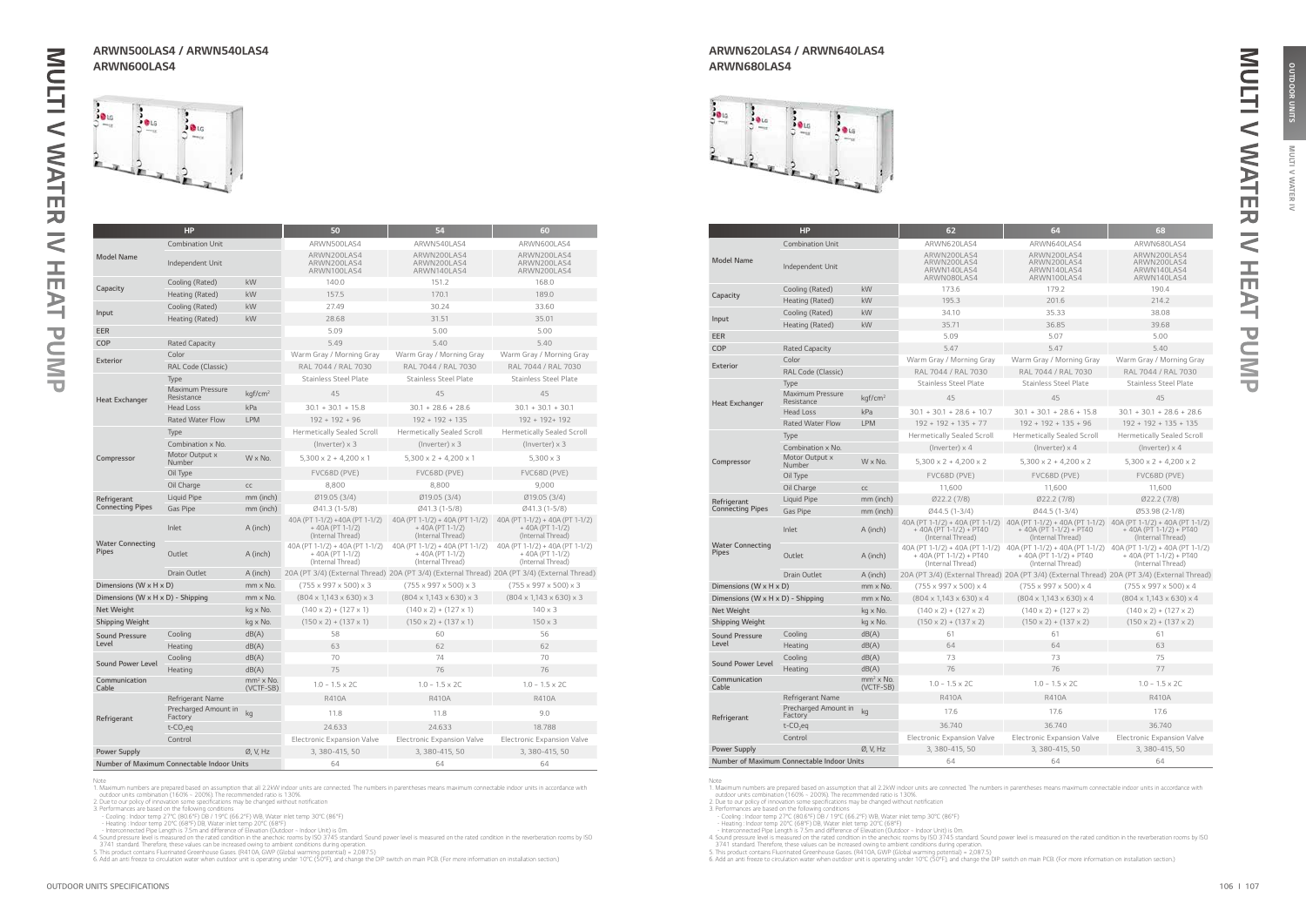**MULTI** 

**IAN** 虱  $\tilde{z}$ 

OUTDOOR UNITS

|                                         | <b>HP</b>                                  |                          | 50                                                                        | 54                                                                                           | 60                                                                        |
|-----------------------------------------|--------------------------------------------|--------------------------|---------------------------------------------------------------------------|----------------------------------------------------------------------------------------------|---------------------------------------------------------------------------|
|                                         | <b>Combination Unit</b>                    |                          | ARWN500LAS4                                                               | ARWN540LAS4                                                                                  | ARWN600LAS4                                                               |
| <b>Model Name</b>                       | Independent Unit                           |                          | ARWN200LAS4<br>ARWN200LAS4<br>ARWN100LAS4                                 | ARWN200LAS4<br>ARWN200LAS4<br>ARWN140LAS4                                                    | ARWN200LAS4<br>ARWN200LAS4<br>ARWN200LAS4                                 |
|                                         | Cooling (Rated)                            | kW                       | 140.0                                                                     | 151.2                                                                                        | 168.0                                                                     |
| Capacity                                | Heating (Rated)                            | kW                       | 157.5                                                                     | 170.1                                                                                        | 189.0                                                                     |
|                                         | Cooling (Rated)                            | kW                       | 27.49                                                                     | 30.24                                                                                        | 33.60                                                                     |
| Input                                   | Heating (Rated)                            | kW                       | 28.68                                                                     | 31.51                                                                                        | 35.01                                                                     |
| <b>EER</b>                              |                                            |                          | 5.09                                                                      | 5.00                                                                                         | 5.00                                                                      |
| COP                                     | <b>Rated Capacity</b>                      |                          | 5.49                                                                      | 5.40                                                                                         | 5.40                                                                      |
| <b>Exterior</b>                         | Color                                      |                          | Warm Gray / Morning Gray                                                  | Warm Gray / Morning Gray                                                                     | Warm Gray / Morning Gray                                                  |
|                                         | RAL Code (Classic)                         |                          | RAL 7044 / RAL 7030                                                       | RAL 7044 / RAL 7030                                                                          | RAL 7044 / RAL 7030                                                       |
|                                         | Type                                       |                          | <b>Stainless Steel Plate</b>                                              | <b>Stainless Steel Plate</b>                                                                 | <b>Stainless Steel Plate</b>                                              |
| <b>Heat Exchanger</b>                   | <b>Maximum Pressure</b><br>Resistance      | kgf/cm <sup>2</sup>      | 45                                                                        | 45                                                                                           | 45                                                                        |
|                                         | <b>Head Loss</b>                           | kPa                      | $30.1 + 30.1 + 15.8$                                                      | $30.1 + 28.6 + 28.6$                                                                         | $30.1 + 30.1 + 30.1$                                                      |
|                                         | <b>Rated Water Flow</b>                    | <b>LPM</b>               | $192 + 192 + 96$                                                          | $192 + 192 + 135$                                                                            | 192 + 192+ 192                                                            |
|                                         | Type                                       |                          | <b>Hermetically Sealed Scroll</b>                                         | <b>Hermetically Sealed Scroll</b>                                                            | <b>Hermetically Sealed Scroll</b>                                         |
|                                         | Combination x No.                          |                          | $(Inverse) \times 3$                                                      | $(Inverse) \times 3$                                                                         | $($ lnverter $) \times 3$                                                 |
| Compressor                              | Motor Output x<br>Number                   | $W \times No.$           | $5,300 \times 2 + 4,200 \times 1$                                         | $5,300 \times 2 + 4,200 \times 1$                                                            | $5,300 \times 3$                                                          |
|                                         | Oil Type                                   |                          | FVC68D (PVE)                                                              | FVC68D (PVE)                                                                                 | FVC68D (PVE)                                                              |
|                                         | Oil Charge                                 | CC                       | 8,800                                                                     | 8,800                                                                                        | 9.000                                                                     |
| Refrigerant                             | Liquid Pipe                                | mm (inch)                | Ø19.05 (3/4)                                                              | Ø19.05 (3/4)                                                                                 | Ø19.05 (3/4)                                                              |
| <b>Connecting Pipes</b>                 | Gas Pipe                                   | mm (inch)                | Ø41.3 (1-5/8)                                                             | Ø41.3 (1-5/8)                                                                                | Ø41.3 (1-5/8)                                                             |
|                                         | Inlet                                      | A (inch)                 | 40A (PT 1-1/2) +40A (PT 1-1/2)<br>+40A (PT 1-1/2)<br>(Internal Thread)    | 40A (PT 1-1/2) + 40A (PT 1-1/2)<br>+40A (PT 1-1/2)<br>(Internal Thread)                      | 40A (PT 1-1/2) + 40A (PT 1-1/2)<br>+40A (PT 1-1/2)<br>(Internal Thread)   |
| <b>Water Connecting</b><br><b>Pipes</b> | Outlet                                     | A (inch)                 | 40A (PT 1-1/2) + 40A (PT 1-1/2)<br>$+40A (PT 1-1/2)$<br>(Internal Thread) | 40A (PT 1-1/2) + 40A (PT 1-1/2)<br>$+40A (PT 1-1/2)$<br>(Internal Thread)                    | 40A (PT 1-1/2) + 40A (PT 1-1/2)<br>$+40A (PT 1-1/2)$<br>(Internal Thread) |
|                                         | Drain Outlet                               | A (inch)                 |                                                                           | 20A (PT 3/4) (External Thread) 20A (PT 3/4) (External Thread) 20A (PT 3/4) (External Thread) |                                                                           |
| Dimensions (W $\times$ H $\times$ D)    |                                            | mm x No.                 | $(755 \times 997 \times 500) \times 3$                                    | $(755 \times 997 \times 500) \times 3$                                                       | $(755 \times 997 \times 500) \times 3$                                    |
| Dimensions (W x H x D) - Shipping       |                                            | mm x No.                 | $(804 \times 1,143 \times 630) \times 3$                                  | $(804 \times 1,143 \times 630) \times 3$                                                     | $(804 \times 1,143 \times 630) \times 3$                                  |
| Net Weight                              |                                            | kg x No.                 | $(140 \times 2) + (127 \times 1)$                                         | $(140 \times 2) + (127 \times 1)$                                                            | $140 \times 3$                                                            |
| <b>Shipping Weight</b>                  |                                            | kg x No.                 | $(150 \times 2) + (137 \times 1)$                                         | $(150 \times 2) + (137 \times 1)$                                                            | $150 \times 3$                                                            |
| <b>Sound Pressure</b>                   | Cooling                                    | dB(A)                    | 58                                                                        | 60                                                                                           | 56                                                                        |
| Level                                   | Heating                                    | dB(A)                    | 63                                                                        | 62                                                                                           | 62                                                                        |
| <b>Sound Power Level</b>                | Cooling                                    | dB(A)                    | 70                                                                        | 74                                                                                           | 70                                                                        |
|                                         | Heating                                    | dB(A)                    | 75                                                                        | 76                                                                                           | 76                                                                        |
| Communication<br>Cable                  |                                            | $mm2$ x No.<br>(VCTF-SB) | $1.0 - 1.5 \times 2C$                                                     | $1.0 - 1.5 \times 2C$                                                                        | $1.0 - 1.5 \times 2C$                                                     |
|                                         | Refrigerant Name                           |                          | <b>R410A</b>                                                              | R410A                                                                                        | <b>R410A</b>                                                              |
| Refrigerant                             | Precharged Amount in<br>Factory            | kg                       | 11.8                                                                      | 11.8                                                                                         | 9.0                                                                       |
|                                         | $t$ -CO <sub>2</sub> eq                    |                          | 24.633                                                                    | 24.633                                                                                       | 18.788                                                                    |
|                                         | Control                                    |                          | <b>Electronic Expansion Valve</b>                                         | <b>Electronic Expansion Valve</b>                                                            | <b>Electronic Expansion Valve</b>                                         |
| <b>Power Supply</b>                     |                                            | Ø, V, Hz                 | 3, 380-415, 50                                                            | 3, 380-415, 50                                                                               | 3, 380-415, 50                                                            |
|                                         | Number of Maximum Connectable Indoor Units |                          | 64                                                                        | 64                                                                                           | 64                                                                        |

Note<br>
1. Maximum numbers are prepared based on assumption that all 2.2kW indoor units are connected. The numbers in parentheses means maximum connectable indoor units in accordance with<br>
1. Maximum numbers are prepared bas

|                                            | HP                                    |                               | 62                                                                                | 64                                                                                                                | 68                                                                                |
|--------------------------------------------|---------------------------------------|-------------------------------|-----------------------------------------------------------------------------------|-------------------------------------------------------------------------------------------------------------------|-----------------------------------------------------------------------------------|
|                                            | <b>Combination Unit</b>               |                               | ARWN620LAS4                                                                       | ARWN640LAS4                                                                                                       | ARWN680LAS4                                                                       |
| <b>Model Name</b>                          | Independent Unit                      |                               | ARWN200LAS4<br>ARWN200LAS4<br>ARWN140LAS4<br>ARWN080LAS4                          | ARWN200LAS4<br>ARWN200LAS4<br>ARWN140LAS4<br>ARWN100LAS4                                                          | ARWN200LAS4<br>ARWN200LAS4<br>ARWN140LAS4<br>ARWN140LAS4                          |
|                                            | Cooling (Rated)                       | kW                            | 173.6                                                                             | 179.2                                                                                                             | 190.4                                                                             |
| Capacity                                   | Heating (Rated)                       | kW                            | 195.3                                                                             | 201.6                                                                                                             | 214.2                                                                             |
|                                            | Cooling (Rated)                       | kW                            | 34.10                                                                             | 35.33                                                                                                             | 38.08                                                                             |
| Input                                      | Heating (Rated)                       | kW                            | 35.71                                                                             | 36.85                                                                                                             | 39.68                                                                             |
| <b>EER</b>                                 |                                       |                               | 5.09                                                                              | 5.07                                                                                                              | 5.00                                                                              |
| COP                                        | <b>Rated Capacity</b>                 |                               | 5.47                                                                              | 5.47                                                                                                              | 5.40                                                                              |
|                                            | Color                                 |                               | Warm Gray / Morning Gray                                                          | Warm Gray / Morning Gray                                                                                          | Warm Gray / Morning Gray                                                          |
| <b>Exterior</b>                            | RAL Code (Classic)                    |                               | RAL 7044 / RAL 7030                                                               | RAL 7044 / RAL 7030                                                                                               | RAL 7044 / RAL 7030                                                               |
|                                            | Type                                  |                               | <b>Stainless Steel Plate</b>                                                      | <b>Stainless Steel Plate</b>                                                                                      | <b>Stainless Steel Plate</b>                                                      |
| <b>Heat Exchanger</b>                      | <b>Maximum Pressure</b><br>Resistance | kgf/cm <sup>2</sup>           | 45                                                                                | 45                                                                                                                | 45                                                                                |
|                                            | <b>Head Loss</b>                      | kPa                           | $30.1 + 30.1 + 28.6 + 10.7$                                                       | $30.1 + 30.1 + 28.6 + 15.8$                                                                                       | $30.1 + 30.1 + 28.6 + 28.6$                                                       |
|                                            | <b>Rated Water Flow</b>               | <b>LPM</b>                    | $192 + 192 + 135 + 77$                                                            | $192 + 192 + 135 + 96$                                                                                            | $192 + 192 + 135 + 135$                                                           |
|                                            | Type                                  |                               | <b>Hermetically Sealed Scroll</b>                                                 | <b>Hermetically Sealed Scroll</b>                                                                                 | <b>Hermetically Sealed Scroll</b>                                                 |
|                                            | Combination x No.                     |                               | (Inverter) $\times$ 4                                                             | (Inverter) $\times$ 4                                                                                             | (Inverter) $\times$ 4                                                             |
| Compressor                                 | Motor Output x<br>Number              | $W \times No.$                | $5,300 \times 2 + 4,200 \times 2$                                                 | $5,300 \times 2 + 4,200 \times 2$                                                                                 | $5,300 \times 2 + 4,200 \times 2$                                                 |
|                                            | Oil Type                              |                               | FVC68D (PVE)                                                                      | FVC68D (PVE)                                                                                                      | FVC68D (PVE)                                                                      |
|                                            | Oil Charge                            | CC                            | 11,600                                                                            | 11,600                                                                                                            | 11,600                                                                            |
| Refrigerant                                | Liquid Pipe                           | mm (inch)                     | Ø22.2(7/8)                                                                        | Ø22.2(7/8)                                                                                                        | Ø22.2(7/8)                                                                        |
| <b>Connecting Pipes</b>                    | <b>Gas Pipe</b>                       | mm (inch)                     | Ø44.5 (1-3/4)                                                                     | Ø44.5 (1-3/4)                                                                                                     | Ø53.98 (2-1/8)                                                                    |
|                                            | Inlet                                 | A (inch)                      | 40A (PT 1-1/2) + 40A (PT 1-1/2)<br>$+40A (PT 1-1/2) + PT40$<br>(Internal Thread)  | 40A (PT 1-1/2) + 40A (PT 1-1/2)<br>$+ 40A (PT 1-1/2) + PT40$<br>(Internal Thread)                                 | 40A (PT 1-1/2) + 40A (PT 1-1/2)<br>$+ 40A (PT 1-1/2) + PT40$<br>(Internal Thread) |
| <b>Water Connecting</b><br><b>Pipes</b>    | Outlet                                | A (inch)                      | 40A (PT 1-1/2) + 40A (PT 1-1/2)<br>$+ 40A (PT 1-1/2) + PT40$<br>(Internal Thread) | 40A (PT 1-1/2) + 40A (PT 1-1/2) 40A (PT 1-1/2) + 40A (PT 1-1/2)<br>$+$ 40A (PT 1-1/2) + PT40<br>(Internal Thread) | $+$ 40A (PT 1-1/2) + PT40<br>(Internal Thread)                                    |
|                                            | <b>Drain Outlet</b>                   | A (inch)                      |                                                                                   | 20A (PT 3/4) (External Thread) 20A (PT 3/4) (External Thread) 20A (PT 3/4) (External Thread)                      |                                                                                   |
| Dimensions (W x H x D)                     |                                       | mm x No.                      | $(755 \times 997 \times 500) \times 4$                                            | $(755 \times 997 \times 500) \times 4$                                                                            | $(755 \times 997 \times 500) \times 4$                                            |
| Dimensions (W x H x D) - Shipping          |                                       | mm x No.                      | $(804 \times 1,143 \times 630) \times 4$                                          | $(804 \times 1,143 \times 630) \times 4$                                                                          | $(804 \times 1,143 \times 630) \times 4$                                          |
| <b>Net Weight</b>                          |                                       | kg x No.                      | $(140 \times 2) + (127 \times 2)$                                                 | $(140 \times 2) + (127 \times 2)$                                                                                 | $(140 \times 2) + (127 \times 2)$                                                 |
| Shipping Weight                            |                                       | kg x No.                      | $(150 \times 2) + (137 \times 2)$                                                 | $(150 \times 2) + (137 \times 2)$                                                                                 | $(150 \times 2) + (137 \times 2)$                                                 |
| <b>Sound Pressure</b>                      | Cooling                               | dB(A)                         | 61                                                                                | 61                                                                                                                | 61                                                                                |
| Level                                      | Heating                               | dB(A)                         | 64                                                                                | 64                                                                                                                | 63                                                                                |
| <b>Sound Power Level</b>                   | Cooling                               | dB(A)                         | 73                                                                                | 73                                                                                                                | 75                                                                                |
|                                            | Heating                               | dB(A)                         | 76                                                                                | 76                                                                                                                | 77                                                                                |
| Communication<br>Cable                     |                                       | $mm2 \times No.$<br>(VCTF-SB) | $1.0 - 1.5 \times 2C$                                                             | $1.0 - 1.5 \times 2C$                                                                                             | $1.0 - 1.5 \times 2C$                                                             |
|                                            | Refrigerant Name                      |                               | <b>R410A</b>                                                                      | <b>R410A</b>                                                                                                      | <b>R410A</b>                                                                      |
| Refrigerant                                | Precharged Amount in<br>Factory       | kg                            | 17.6                                                                              | 17.6                                                                                                              | 17.6                                                                              |
|                                            | $t$ -CO <sub>2</sub> eq               |                               | 36.740                                                                            | 36.740                                                                                                            | 36.740                                                                            |
|                                            | Control                               |                               | Electronic Expansion Valve                                                        | <b>Electronic Expansion Valve</b>                                                                                 | Electronic Expansion Valve                                                        |
| <b>Power Supply</b>                        |                                       | Ø, V, Hz                      | 3, 380-415, 50                                                                    | 3, 380-415, 50                                                                                                    | 3, 380-415, 50                                                                    |
| Number of Maximum Connectable Indoor Units |                                       |                               | 64                                                                                | 64                                                                                                                | 64                                                                                |

Note<br>
1. Maximum numbers are prepared based on assumption that all 2.2kW indoor units are connected. The numbers in parentheses means maximum connectable indoor units in accordance with<br>
1. Maximum numbers are prepared bas

### ARWN500LAS4 / ARWN540LAS4 ARWN600LAS4



### ARWN620LAS4 / ARWN640LAS4 ARWN680LAS4



MULTI V WATER IV HEAT PUMP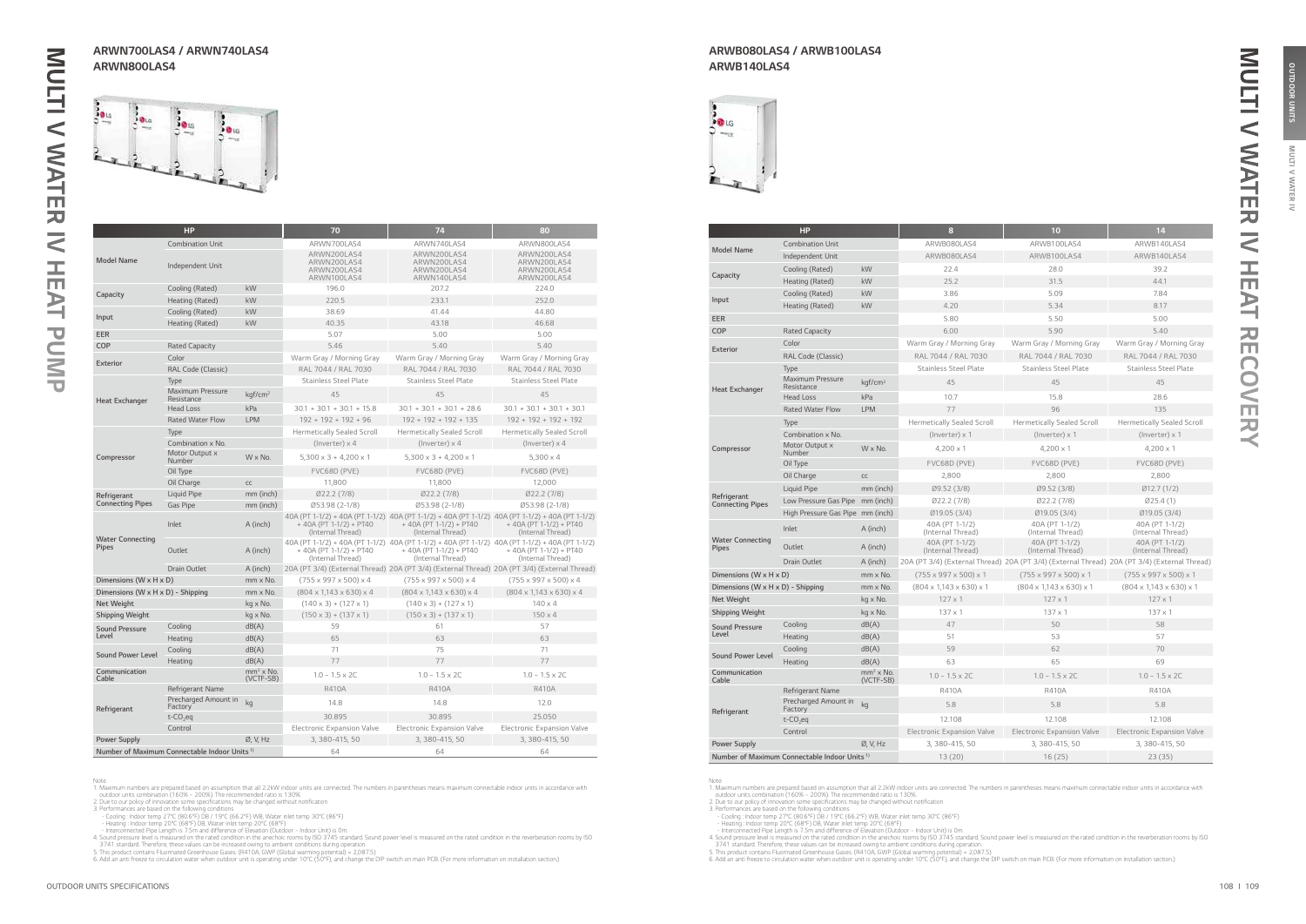**MULTI** 

**IAN** 虱  $\tilde{z}$ 

|                                   | <b>HP</b>                                                |                          | 70                                                                      | 74                                                                                                                                                | 80                                                                                           |
|-----------------------------------|----------------------------------------------------------|--------------------------|-------------------------------------------------------------------------|---------------------------------------------------------------------------------------------------------------------------------------------------|----------------------------------------------------------------------------------------------|
|                                   |                                                          |                          |                                                                         |                                                                                                                                                   |                                                                                              |
| <b>Model Name</b>                 | <b>Combination Unit</b><br>Independent Unit              |                          | ARWN700LAS4<br>ARWN200LAS4<br>ARWN200LAS4<br>ARWN200LAS4<br>ARWN100LAS4 | ARWN740LAS4<br>ARWN200LAS4<br>ARWN200LAS4<br>ARWN200LAS4<br>ARWN140LAS4                                                                           | ARWN800LAS4<br>ARWN200LAS4<br>ARWN200LAS4<br>ARWN200LAS4<br>ARWN200LAS4                      |
|                                   | Cooling (Rated)                                          | kW                       | 196.0                                                                   | 207.2                                                                                                                                             | 224.0                                                                                        |
| Capacity                          | Heating (Rated)                                          | kW                       | 220.5                                                                   | 233.1                                                                                                                                             | 252.0                                                                                        |
|                                   | Cooling (Rated)                                          | kW                       | 38.69                                                                   | 41.44                                                                                                                                             | 44.80                                                                                        |
| Input                             | Heating (Rated)                                          | kW                       | 40.35                                                                   | 43.18                                                                                                                                             | 46.68                                                                                        |
| EER                               |                                                          |                          | 5.07                                                                    | 5.00                                                                                                                                              | 5.00                                                                                         |
| COP                               | <b>Rated Capacity</b>                                    |                          | 5.46                                                                    | 5.40                                                                                                                                              | 5.40                                                                                         |
|                                   | Color                                                    |                          | Warm Gray / Morning Gray                                                | Warm Gray / Morning Gray                                                                                                                          | Warm Gray / Morning Gray                                                                     |
| <b>Exterior</b>                   | RAL Code (Classic)                                       |                          | RAL 7044 / RAL 7030                                                     | RAL 7044 / RAL 7030                                                                                                                               | RAL 7044 / RAL 7030                                                                          |
|                                   | Type                                                     |                          | <b>Stainless Steel Plate</b>                                            | <b>Stainless Steel Plate</b>                                                                                                                      | <b>Stainless Steel Plate</b>                                                                 |
| Heat Exchanger                    | <b>Maximum Pressure</b><br>Resistance                    | kqf/cm <sup>2</sup>      | 45                                                                      | 45                                                                                                                                                | 45                                                                                           |
|                                   | <b>Head Loss</b>                                         | kPa                      | $30.1 + 30.1 + 30.1 + 15.8$                                             | $30.1 + 30.1 + 30.1 + 28.6$                                                                                                                       | $30.1 + 30.1 + 30.1 + 30.1$                                                                  |
|                                   | <b>Rated Water Flow</b>                                  | <b>LPM</b>               | $192 + 192 + 192 + 96$                                                  | $192 + 192 + 192 + 135$                                                                                                                           | $192 + 192 + 192 + 192$                                                                      |
|                                   | Type                                                     |                          | <b>Hermetically Sealed Scroll</b>                                       | <b>Hermetically Sealed Scroll</b>                                                                                                                 | <b>Hermetically Sealed Scroll</b>                                                            |
|                                   | Combination x No.                                        |                          | (Inverter) $\times$ 4                                                   | (Inverter) $\times$ 4                                                                                                                             | (Inverter) x 4                                                                               |
| Compressor                        | Motor Output x<br>Number                                 | $W \times No.$           | $5,300 \times 3 + 4,200 \times 1$                                       | $5,300 \times 3 + 4,200 \times 1$                                                                                                                 | $5,300 \times 4$                                                                             |
|                                   | Oil Type                                                 |                          | FVC68D (PVE)                                                            | FVC68D (PVE)                                                                                                                                      | FVC68D (PVE)                                                                                 |
|                                   | Oil Charge                                               | $\mathsf{CC}$            | 11,800                                                                  | 11,800                                                                                                                                            | 12,000                                                                                       |
| Refrigerant                       | Liquid Pipe                                              | mm (inch)                | Ø22.2(7/8)                                                              | Ø22.2(7/8)                                                                                                                                        | Ø22.2(7/8)                                                                                   |
| <b>Connecting Pipes</b>           | Gas Pipe                                                 | mm (inch)                | Ø53.98 (2-1/8)                                                          | Ø53.98 (2-1/8)                                                                                                                                    | Ø53.98 (2-1/8)                                                                               |
|                                   | Inlet                                                    | A (inch)                 | $+ 40A (PT 1-1/2) + PT40$<br>(Internal Thread)                          | 40A (PT 1-1/2) + 40A (PT 1-1/2) 40A (PT 1-1/2) + 40A (PT 1-1/2) 40A (PT 1-1/2) + 40A (PT 1-1/2)<br>+ 40A (PT 1-1/2) + PT40<br>(Internal Thread)   | $+ 40A (PT 1-1/2) + PT40$<br>(Internal Thread)                                               |
| Water Connecting<br>Pipes         | Outlet                                                   | A (inch)                 | + 40A (PT 1-1/2) + PT40<br>(Internal Thread)                            | 40A (PT 1-1/2) + 40A (PT 1-1/2) 40A (PT 1-1/2) + 40A (PT 1-1/2) 40A (PT 1-1/2) + 40A (PT 1-1/2)<br>$+$ 40A (PT 1-1/2) + PT40<br>(Internal Thread) | $+$ 40A (PT 1-1/2) + PT40<br>(Internal Thread)                                               |
|                                   | Drain Outlet                                             | A (inch)                 |                                                                         |                                                                                                                                                   | 20A (PT 3/4) (External Thread) 20A (PT 3/4) (External Thread) 20A (PT 3/4) (External Thread) |
| Dimensions (W x H x D)            |                                                          | $mm \times No.$          | $(755 \times 997 \times 500) \times 4$                                  | (755 x 997 x 500) x 4                                                                                                                             | $(755 \times 997 \times 500) \times 4$                                                       |
| Dimensions (W x H x D) - Shipping |                                                          | mm x No.                 | $(804 \times 1,143 \times 630) \times 4$                                | $(804 \times 1,143 \times 630) \times 4$                                                                                                          | $(804 \times 1,143 \times 630) \times 4$                                                     |
| <b>Net Weight</b>                 |                                                          | kg x No.                 | $(140 \times 3) + (127 \times 1)$                                       | $(140 \times 3) + (127 \times 1)$                                                                                                                 | $140 \times 4$                                                                               |
| <b>Shipping Weight</b>            |                                                          | kg x No.                 | $(150 \times 3) + (137 \times 1)$                                       | $(150 \times 3) + (137 \times 1)$                                                                                                                 | $150 \times 4$                                                                               |
| <b>Sound Pressure</b>             | Cooling                                                  | dB(A)                    | 59                                                                      | 61                                                                                                                                                | 57                                                                                           |
| Level                             | Heating                                                  | dB(A)                    | 65                                                                      | 63                                                                                                                                                | 63                                                                                           |
| <b>Sound Power Level</b>          | Cooling                                                  | dB(A)                    | 71                                                                      | 75                                                                                                                                                | 71                                                                                           |
|                                   | Heating                                                  | dB(A)                    | 77                                                                      | 77                                                                                                                                                | 77                                                                                           |
| Communication<br>Cable            |                                                          | $mm2$ x No.<br>(VCTF-SB) | $1.0 - 1.5 \times 2C$                                                   | $1.0 - 1.5 \times 2C$                                                                                                                             | $1.0 - 1.5 \times 2C$                                                                        |
|                                   | Refrigerant Name                                         |                          | <b>R410A</b>                                                            | <b>R410A</b>                                                                                                                                      | <b>R410A</b>                                                                                 |
| Refrigerant                       | Precharged Amount in<br>Factory                          | kg                       | 14.8                                                                    | 14.8                                                                                                                                              | 12.0                                                                                         |
|                                   | $t$ -CO <sub>2</sub> eq                                  |                          | 30.895                                                                  | 30.895                                                                                                                                            | 25,050                                                                                       |
|                                   | Control                                                  |                          | <b>Electronic Expansion Valve</b>                                       | <b>Electronic Expansion Valve</b>                                                                                                                 | <b>Electronic Expansion Valve</b>                                                            |
| <b>Power Supply</b>               |                                                          | Ø, V, Hz                 | 3, 380-415, 50                                                          | 3, 380-415, 50                                                                                                                                    | 3, 380-415, 50                                                                               |
|                                   | Number of Maximum Connectable Indoor Units <sup>1)</sup> |                          | 64                                                                      | 64                                                                                                                                                | 64                                                                                           |

Note<br>
1. Maximum numbers are prepared based on assumption that all 2.2kW indoor units are connected. The numbers in parentheses means maximum connectable indoor units in accordance with<br>
1. Maximum numbers are prepared bas

|                                         | <b>HP</b>                                                |                          | $\bf{a}$                                 | 10                                                                                           | 14                                       |
|-----------------------------------------|----------------------------------------------------------|--------------------------|------------------------------------------|----------------------------------------------------------------------------------------------|------------------------------------------|
|                                         | <b>Combination Unit</b>                                  |                          | ARWB080LAS4                              | ARWB100LAS4                                                                                  | ARWB140LAS4                              |
| <b>Model Name</b>                       | Independent Unit                                         |                          | ARWB080LAS4                              | ARWB100LAS4                                                                                  | ARWB140LAS4                              |
| Capacity                                | Cooling (Rated)                                          | kW                       | 22.4                                     | 28.0                                                                                         | 39.2                                     |
|                                         | Heating (Rated)                                          | kW                       | 25.2                                     | 31.5                                                                                         | 44.1                                     |
|                                         | Cooling (Rated)                                          | kW                       | 3.86                                     | 5.09                                                                                         | 7.84                                     |
| Input                                   | Heating (Rated)                                          | kW                       | 4.20                                     | 5.34                                                                                         | 8.17                                     |
| EER                                     |                                                          |                          | 5.80                                     | 5.50                                                                                         | 5.00                                     |
| COP                                     | <b>Rated Capacity</b>                                    |                          | 6.00                                     | 5.90                                                                                         | 5.40                                     |
| Exterior                                | Color                                                    |                          | Warm Gray / Morning Gray                 | Warm Gray / Morning Gray                                                                     | Warm Gray / Morning Gray                 |
|                                         | RAL Code (Classic)                                       |                          | RAL 7044 / RAL 7030                      | RAL 7044 / RAL 7030                                                                          | RAL 7044 / RAL 7030                      |
|                                         | Type                                                     |                          | <b>Stainless Steel Plate</b>             | <b>Stainless Steel Plate</b>                                                                 | <b>Stainless Steel Plate</b>             |
| <b>Heat Exchanger</b>                   | <b>Maximum Pressure</b><br>Resistance                    | kgf/cm <sup>2</sup>      | 45                                       | 45                                                                                           | 45                                       |
|                                         | <b>Head Loss</b>                                         | kPa                      | 10.7                                     | 15.8                                                                                         | 28.6                                     |
|                                         | <b>Rated Water Flow</b>                                  | <b>LPM</b>               | 77                                       | 96                                                                                           | 135                                      |
|                                         | Type                                                     |                          | <b>Hermetically Sealed Scroll</b>        | <b>Hermetically Sealed Scroll</b>                                                            | <b>Hermetically Sealed Scroll</b>        |
|                                         | Combination x No.                                        |                          | (Inverter) x 1                           | (Inverter) x 1                                                                               | (Inverter) $\times$ 1                    |
| Compressor                              | Motor Output x<br>Number                                 | $W \times No.$           | $4.200 \times 1$                         | $4.200 \times 1$                                                                             | $4.200 \times 1$                         |
|                                         | Oil Type                                                 |                          | FVC68D (PVE)                             | FVC68D (PVE)                                                                                 | FVC68D (PVE)                             |
|                                         | Oil Charge                                               | CC                       | 2,800                                    | 2,800                                                                                        | 2,800                                    |
|                                         | Liquid Pipe                                              | mm (inch)                | Ø9.52 (3/8)                              | Ø9.52 (3/8)                                                                                  | Ø12.7(1/2)                               |
| Refrigerant<br><b>Connecting Pipes</b>  | Low Pressure Gas Pipe mm (inch)                          |                          | Ø22.2(7/8)                               | Ø22.2(7/8)                                                                                   | Ø25.4(1)                                 |
|                                         | High Pressure Gas Pipe mm (inch)                         |                          | Ø19.05 (3/4)                             | Ø19.05 (3/4)                                                                                 | Ø19.05 (3/4)                             |
|                                         | Inlet                                                    | A (inch)                 | 40A (PT 1-1/2)<br>(Internal Thread)      | 40A (PT 1-1/2)<br>(Internal Thread)                                                          | 40A (PT 1-1/2)<br>(Internal Thread)      |
| <b>Water Connecting</b><br><b>Pipes</b> | Outlet                                                   | A (inch)                 | 40A (PT 1-1/2)<br>(Internal Thread)      | 40A (PT 1-1/2)<br>(Internal Thread)                                                          | 40A (PT 1-1/2)<br>(Internal Thread)      |
|                                         | <b>Drain Outlet</b>                                      | A (inch)                 |                                          | 20A (PT 3/4) (External Thread) 20A (PT 3/4) (External Thread) 20A (PT 3/4) (External Thread) |                                          |
| Dimensions (W x H x D)                  |                                                          | mm x No.                 | $(755 \times 997 \times 500) \times 1$   | $(755 \times 997 \times 500) \times 1$                                                       | $(755 \times 997 \times 500) \times 1$   |
| Dimensions (W x H x D) - Shipping       |                                                          | $mm \times No.$          | $(804 \times 1,143 \times 630) \times 1$ | $(804 \times 1,143 \times 630) \times 1$                                                     | $(804 \times 1,143 \times 630) \times 1$ |
| Net Weight                              |                                                          | kg x No.                 | $127 \times 1$                           | $127 \times 1$                                                                               | $127 \times 1$                           |
| <b>Shipping Weight</b>                  |                                                          | kg x No.                 | $137 \times 1$                           | $137 \times 1$                                                                               | $137 \times 1$                           |
| Sound Pressure                          | Cooling                                                  | dB(A)                    | 47                                       | 50                                                                                           | 58                                       |
| Level                                   | Heating                                                  | dB(A)                    | 51                                       | 53                                                                                           | 57                                       |
| <b>Sound Power Level</b>                | Cooling                                                  | dB(A)                    | 59                                       | 62                                                                                           | 70                                       |
|                                         | Heating                                                  | dB(A)                    | 63                                       | 65                                                                                           | 69                                       |
| Communication<br>Cable                  |                                                          | $mm2$ x No.<br>(VCTF-SB) | $1.0 - 1.5 \times 2C$                    | $1.0 - 1.5 \times 2C$                                                                        | $1.0 - 1.5 \times 2C$                    |
|                                         | Refrigerant Name                                         |                          | <b>R410A</b>                             | <b>R410A</b>                                                                                 | <b>R410A</b>                             |
| Refrigerant                             | Precharged Amount in<br>Factory                          | kg                       | 5.8                                      | 5.8                                                                                          | 5.8                                      |
|                                         | $t$ -CO <sub>2</sub> eq                                  |                          | 12.108                                   | 12.108                                                                                       | 12.108                                   |
|                                         | Control                                                  |                          | <b>Electronic Expansion Valve</b>        | <b>Electronic Expansion Valve</b>                                                            | <b>Electronic Expansion Valve</b>        |
| <b>Power Supply</b>                     |                                                          | Ø, V, Hz                 | 3, 380-415, 50                           | 3, 380-415, 50                                                                               | 3, 380-415, 50                           |
|                                         | Number of Maximum Connectable Indoor Units <sup>1)</sup> |                          | 13(20)                                   | 16(25)                                                                                       | 23(35)                                   |

Note<br>
1. Maximum numbers are prepared based on assumption that all 2.2kW indoor units are connected. The numbers in parentheses means maximum connectable indoor units in accordance with<br>
1. Maximum numbers are prepared bas

### ARWN700LAS4 / ARWN740LAS4 ARWN800LAS4



### ARWB080LAS4 / ARWB100LAS4 ARWB140LAS4



MULTI V WATER IV HEAT RECOVERY

고  $\overline{\Box}$ 

> $\blacktriangleright$  $\equiv$

刀  $\Box$  $\bigcap$  $\bigcirc$  $\,<\,$ m 刀  $\prec$ 

 $\overline{<}$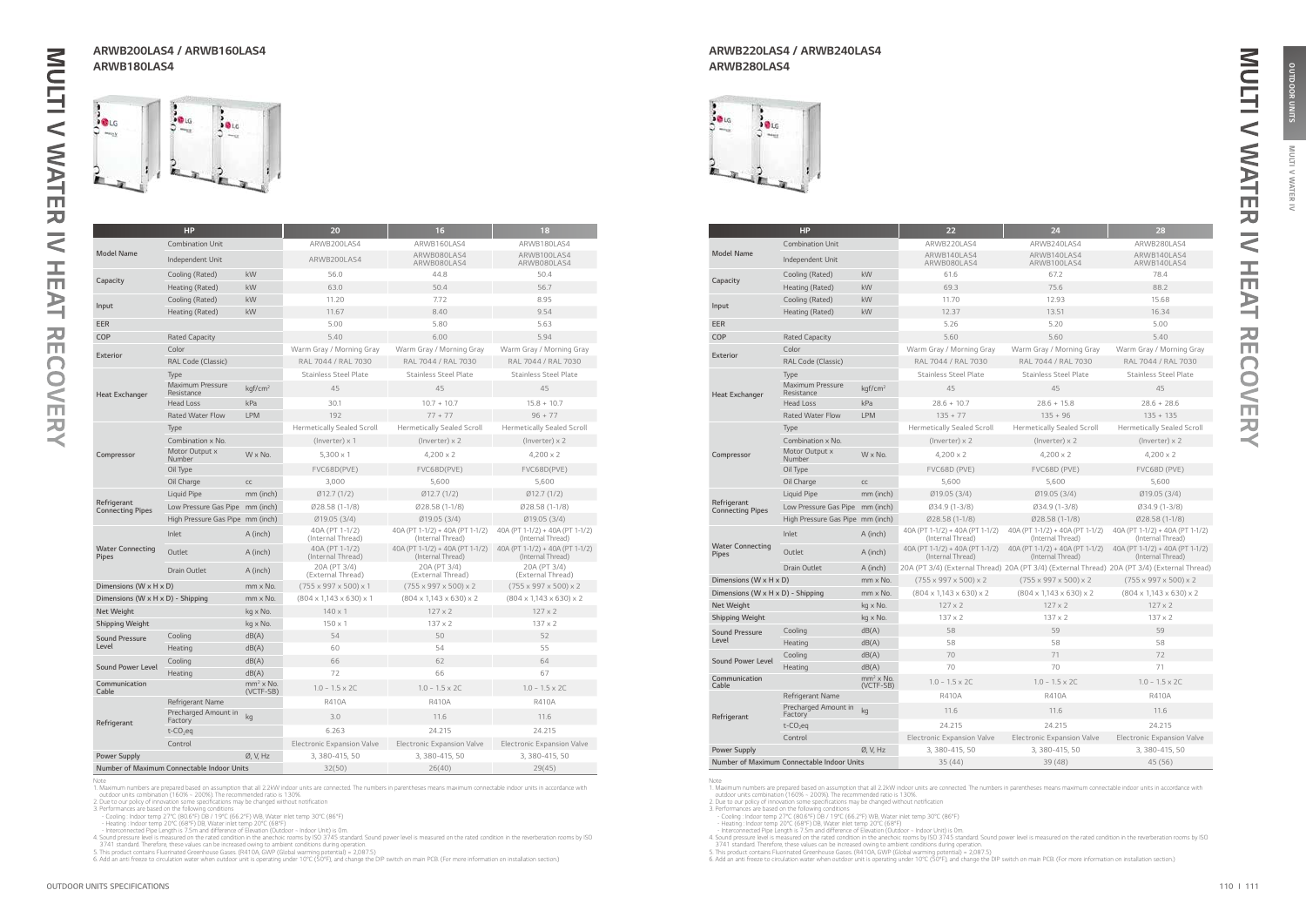**MULTI** 

**IAN** 虱  $\tilde{z}$ 

|                                        | <b>HP</b>                                  |                          | 20                                       | 16                                                   | 18                                                   |
|----------------------------------------|--------------------------------------------|--------------------------|------------------------------------------|------------------------------------------------------|------------------------------------------------------|
|                                        | <b>Combination Unit</b>                    |                          | ARWB200LAS4                              | ARWB160LAS4                                          | ARWB180LAS4                                          |
| <b>Model Name</b>                      | Independent Unit                           |                          | ARWB200LAS4                              | ARWB080LAS4<br>ARWB080LAS4                           | ARWB100LAS4<br>ARWB080LAS4                           |
| Capacity                               | Cooling (Rated)                            | kW                       | 56.0                                     | 44.8                                                 | 50.4                                                 |
|                                        | Heating (Rated)                            | kW                       | 63.0                                     | 50.4                                                 | 56.7                                                 |
|                                        | Cooling (Rated)                            | kW                       | 11.20                                    | 7.72                                                 | 8.95                                                 |
| Input                                  | Heating (Rated)                            | kW                       | 11.67                                    | 8.40                                                 | 9.54                                                 |
| <b>EER</b>                             |                                            |                          | 5.00                                     | 5.80                                                 | 5.63                                                 |
| COP                                    | <b>Rated Capacity</b>                      |                          | 5.40                                     | 6.00                                                 | 5.94                                                 |
| Exterior                               | Color                                      |                          | Warm Gray / Morning Gray                 | Warm Gray / Morning Gray                             | Warm Gray / Morning Gray                             |
|                                        | RAL Code (Classic)                         |                          | RAL 7044 / RAL 7030                      | RAL 7044 / RAL 7030                                  | RAL 7044 / RAL 7030                                  |
|                                        | Type                                       |                          | <b>Stainless Steel Plate</b>             | <b>Stainless Steel Plate</b>                         | <b>Stainless Steel Plate</b>                         |
| <b>Heat Exchanger</b>                  | <b>Maximum Pressure</b><br>Resistance      | kgf/cm <sup>2</sup>      | 45                                       | 45                                                   | 45                                                   |
|                                        | <b>Head Loss</b>                           | kPa                      | 30.1                                     | $10.7 + 10.7$                                        | $15.8 + 10.7$                                        |
|                                        | <b>Rated Water Flow</b>                    | <b>LPM</b>               | 192                                      | $77 + 77$                                            | $96 + 77$                                            |
|                                        | Type                                       |                          | <b>Hermetically Sealed Scroll</b>        | <b>Hermetically Sealed Scroll</b>                    | <b>Hermetically Sealed Scroll</b>                    |
|                                        | Combination x No.                          |                          | $($ lnverter $) \times 1$                | $($ lnverter $) \times 2$                            | (Inverter) x 2                                       |
| Compressor                             | Motor Output x<br>Number                   | W x No.                  | $5,300 \times 1$                         | $4,200 \times 2$                                     | $4,200 \times 2$                                     |
|                                        | Oil Type                                   |                          | FVC68D(PVE)                              | FVC68D(PVE)                                          | FVC68D(PVE)                                          |
|                                        | Oil Charge                                 | CC                       | 3,000                                    | 5,600                                                | 5,600                                                |
|                                        | Liquid Pipe                                | mm (inch)                | Ø12.7(1/2)                               | Ø12.7(1/2)                                           | Ø12.7(1/2)                                           |
| Refrigerant<br><b>Connecting Pipes</b> | Low Pressure Gas Pipe mm (inch)            |                          | Ø28.58 (1-1/8)                           | Ø28.58 (1-1/8)                                       | Ø28.58 (1-1/8)                                       |
|                                        | High Pressure Gas Pipe mm (inch)           |                          | Ø19.05 (3/4)                             | Ø19.05 (3/4)                                         | Ø19.05 (3/4)                                         |
|                                        | Inlet                                      | A (inch)                 | 40A (PT 1-1/2)<br>(Internal Thread)      | 40A (PT 1-1/2) + 40A (PT 1-1/2)<br>(Internal Thread) | 40A (PT 1-1/2) + 40A (PT 1-1/2)<br>(Internal Thread) |
| <b>Water Connecting</b><br>Pipes       | Outlet                                     | A (inch)                 | 40A (PT 1-1/2)<br>(Internal Thread)      | 40A (PT 1-1/2) + 40A (PT 1-1/2)<br>(Internal Thread) | 40A (PT 1-1/2) + 40A (PT 1-1/2)<br>(Internal Thread) |
|                                        | Drain Outlet                               | A (inch)                 | 20A (PT 3/4)<br>(External Thread)        | 20A (PT 3/4)<br>(External Thread)                    | 20A (PT 3/4)<br>(External Thread)                    |
| Dimensions (W x H x D)                 |                                            | mm x No.                 | $(755 \times 997 \times 500) \times 1$   | $(755 \times 997 \times 500) \times 2$               | $(755 \times 997 \times 500) \times 2$               |
| Dimensions (W x H x D) - Shipping      |                                            | mm x No.                 | $(804 \times 1,143 \times 630) \times 1$ | $(804 \times 1,143 \times 630) \times 2$             | $(804 \times 1,143 \times 630) \times 2$             |
| <b>Net Weight</b>                      |                                            | kg x No.                 | $140 \times 1$                           | $127 \times 2$                                       | $127 \times 2$                                       |
| <b>Shipping Weight</b>                 |                                            | kg x No.                 | $150 \times 1$                           | $137 \times 2$                                       | $137 \times 2$                                       |
| <b>Sound Pressure</b>                  | Cooling                                    | dB(A)                    | 54                                       | 50                                                   | 52                                                   |
| Level                                  | Heating                                    | dB(A)                    | 60                                       | 54                                                   | 55                                                   |
| <b>Sound Power Level</b>               | Cooling                                    | dB(A)                    | 66                                       | 62                                                   | 64                                                   |
|                                        | Heating                                    | dB(A)                    | 72                                       | 66                                                   | 67                                                   |
| Communication<br>Cable                 |                                            | $mm2$ x No.<br>(VCTF-SB) | $1.0 - 1.5 \times 2C$                    | $1.0 - 1.5 \times 2C$                                | $1.0 - 1.5 \times 2C$                                |
|                                        | Refrigerant Name                           |                          | R410A                                    | R410A                                                | <b>R410A</b>                                         |
| Refrigerant                            | Precharged Amount in<br>Factory            | kg                       | 3.0                                      | 11.6                                                 | 11.6                                                 |
|                                        | $t$ -CO <sub>2</sub> eq                    |                          | 6.263                                    | 24.215                                               | 24.215                                               |
|                                        | Control                                    |                          | <b>Electronic Expansion Valve</b>        | <b>Electronic Expansion Valve</b>                    | <b>Electronic Expansion Valve</b>                    |
| Power Supply                           |                                            | Ø, V, Hz                 | 3, 380-415, 50                           | 3, 380-415, 50                                       | 3, 380-415, 50                                       |
|                                        | Number of Maximum Connectable Indoor Units |                          | 32(50)                                   | 26(40)                                               | 29(45)                                               |

Note<br>
1. Maximum numbers are prepared based on assumption that all 2.2kW indoor units are connected. The numbers in parentheses means maximum connectable indoor units in accordance with<br>
1. Maximum numbers are prepared bas

|                                            | <b>HP</b>                             |                          | 22                                                   | 24                                                                                           | 28                                                   |
|--------------------------------------------|---------------------------------------|--------------------------|------------------------------------------------------|----------------------------------------------------------------------------------------------|------------------------------------------------------|
|                                            | <b>Combination Unit</b>               |                          | ARWB220LAS4                                          | ARWB240LAS4                                                                                  | ARWB280LAS4                                          |
| <b>Model Name</b>                          | Independent Unit                      |                          | ARWB140LAS4<br>ARWB080LAS4                           | ARWB140LAS4<br>ARWB100LAS4                                                                   | ARWB140LAS4<br>ARWB140LAS4                           |
| Capacity                                   | Cooling (Rated)                       | kW                       | 61.6                                                 | 67.2                                                                                         | 78.4                                                 |
|                                            | Heating (Rated)                       | kW                       | 69.3                                                 | 75.6                                                                                         | 88.2                                                 |
| Input                                      | Cooling (Rated)                       | kW                       | 11.70                                                | 12.93                                                                                        | 15.68                                                |
|                                            | Heating (Rated)                       | kW                       | 12.37                                                | 13.51                                                                                        | 16.34                                                |
| <b>EER</b>                                 |                                       |                          | 5.26                                                 | 5.20                                                                                         | 5.00                                                 |
| COP                                        | <b>Rated Capacity</b>                 |                          | 5.60                                                 | 5.60                                                                                         | 5.40                                                 |
| <b>Exterior</b>                            | Color                                 |                          | Warm Gray / Morning Gray                             | Warm Gray / Morning Gray                                                                     | Warm Gray / Morning Gray                             |
|                                            | RAL Code (Classic)                    |                          | RAL 7044 / RAL 7030                                  | RAL 7044 / RAL 7030                                                                          | RAL 7044 / RAL 7030                                  |
|                                            | Type                                  |                          | <b>Stainless Steel Plate</b>                         | <b>Stainless Steel Plate</b>                                                                 | <b>Stainless Steel Plate</b>                         |
| <b>Heat Exchanger</b>                      | <b>Maximum Pressure</b><br>Resistance | kgf/cm <sup>2</sup>      | 45                                                   | 45                                                                                           | 45                                                   |
|                                            | <b>Head Loss</b>                      | kPa                      | $28.6 + 10.7$                                        | $28.6 + 15.8$                                                                                | $28.6 + 28.6$                                        |
|                                            | <b>Rated Water Flow</b>               | <b>LPM</b>               | $135 + 77$                                           | $135 + 96$                                                                                   | $135 + 135$                                          |
|                                            | Type                                  |                          | <b>Hermetically Sealed Scroll</b>                    | <b>Hermetically Sealed Scroll</b>                                                            | <b>Hermetically Sealed Scroll</b>                    |
|                                            | Combination x No.                     |                          | (Inverter) $\times$ 2                                | $($ lnverter $) \times 2$                                                                    | (Inverter) $\times$ 2                                |
| Compressor                                 | Motor Output x<br>Number              | $W \times No.$           | $4.200 \times 2$                                     | $4.200 \times 2$                                                                             | $4,200 \times 2$                                     |
|                                            | Oil Type                              |                          | FVC68D (PVE)                                         | FVC68D (PVE)                                                                                 | FVC68D (PVE)                                         |
|                                            | Oil Charge                            | CC                       | 5,600                                                | 5,600                                                                                        | 5,600                                                |
|                                            | Liquid Pipe                           | mm (inch)                | Ø19.05 (3/4)                                         | Ø19.05 (3/4)                                                                                 | Ø19.05 (3/4)                                         |
| Refrigerant<br><b>Connecting Pipes</b>     | Low Pressure Gas Pipe mm (inch)       |                          | Ø34.9 (1-3/8)                                        | $Ø34.9(1-3/8)$                                                                               | Ø34.9 (1-3/8)                                        |
|                                            | High Pressure Gas Pipe mm (inch)      |                          | Ø28.58 (1-1/8)                                       | Ø28.58 (1-1/8)                                                                               | $Ø28.58(1-1/8)$                                      |
|                                            | Inlet                                 | A (inch)                 | 40A (PT 1-1/2) + 40A (PT 1-1/2)<br>(Internal Thread) | 40A (PT 1-1/2) + 40A (PT 1-1/2)<br>(Internal Thread)                                         | 40A (PT 1-1/2) + 40A (PT 1-1/2)<br>(Internal Thread) |
| <b>Water Connecting</b><br><b>Pipes</b>    | Outlet                                | A (inch)                 | 40A (PT 1-1/2) + 40A (PT 1-1/2)<br>(Internal Thread) | 40A (PT 1-1/2) + 40A (PT 1-1/2)<br>(Internal Thread)                                         | 40A (PT 1-1/2) + 40A (PT 1-1/2)<br>(Internal Thread) |
|                                            | <b>Drain Outlet</b>                   | A (inch)                 |                                                      | 20A (PT 3/4) (External Thread) 20A (PT 3/4) (External Thread) 20A (PT 3/4) (External Thread) |                                                      |
| Dimensions (W x H x D)                     |                                       | mm x No.                 | $(755 \times 997 \times 500) \times 2$               | $(755 \times 997 \times 500) \times 2$                                                       | $(755 \times 997 \times 500) \times 2$               |
| Dimensions (W x H x D) - Shipping          |                                       | mm x No.                 | $(804 \times 1,143 \times 630) \times 2$             | $(804 \times 1,143 \times 630) \times 2$                                                     | $(804 \times 1,143 \times 630) \times 2$             |
| Net Weight                                 |                                       | kg x No.                 | $127 \times 2$                                       | $127 \times 2$                                                                               | $127 \times 2$                                       |
| Shipping Weight                            |                                       | kg x No.                 | $137 \times 2$                                       | $137 \times 2$                                                                               | $137 \times 2$                                       |
| <b>Sound Pressure</b>                      | Cooling                               | dB(A)                    | 58                                                   | 59                                                                                           | 59                                                   |
| Level                                      | Heating                               | dB(A)                    | 58                                                   | 58                                                                                           | 58                                                   |
| Sound Power Level                          | Cooling                               | dB(A)                    | 70                                                   | 71                                                                                           | 72                                                   |
|                                            | Heating                               | dB(A)                    | 70                                                   | 70                                                                                           | 71                                                   |
| Communication<br>Cable                     |                                       | $mm2$ x No.<br>(VCTF-SB) | $1.0 - 1.5 \times 2C$                                | $1.0 - 1.5 \times 2C$                                                                        | $1.0 - 1.5 \times 2C$                                |
|                                            | Refrigerant Name                      |                          | R410A                                                | R410A                                                                                        | R410A                                                |
| Refrigerant                                | Precharged Amount in<br>Factory       | kg                       | 11.6                                                 | 11.6                                                                                         | 11.6                                                 |
|                                            | $t$ -CO <sub>2</sub> eq               |                          | 24.215                                               | 24.215                                                                                       | 24.215                                               |
|                                            | Control                               |                          | <b>Electronic Expansion Valve</b>                    | <b>Electronic Expansion Valve</b>                                                            | Electronic Expansion Valve                           |
| <b>Power Supply</b>                        |                                       | Ø, V, Hz                 | 3, 380-415, 50                                       | 3, 380-415, 50                                                                               | 3, 380-415, 50                                       |
| Number of Maximum Connectable Indoor Units |                                       |                          | 35(44)                                               | 39 (48)                                                                                      | 45 (56)                                              |

Note<br>
1. Maximum numbers are prepared based on assumption that all 2.2kW indoor units are connected. The numbers in parentheses means maximum connectable indoor units in accordance with<br>
1. Maximum numbers are prepared bas

### ARWB200LAS4 / ARWB160LAS4 ARWB180LAS4





### ARWB220LAS4 / ARWB240LAS4 ARWB280LAS4



 $\bigcirc$  $\lt$ m 刀  $\prec$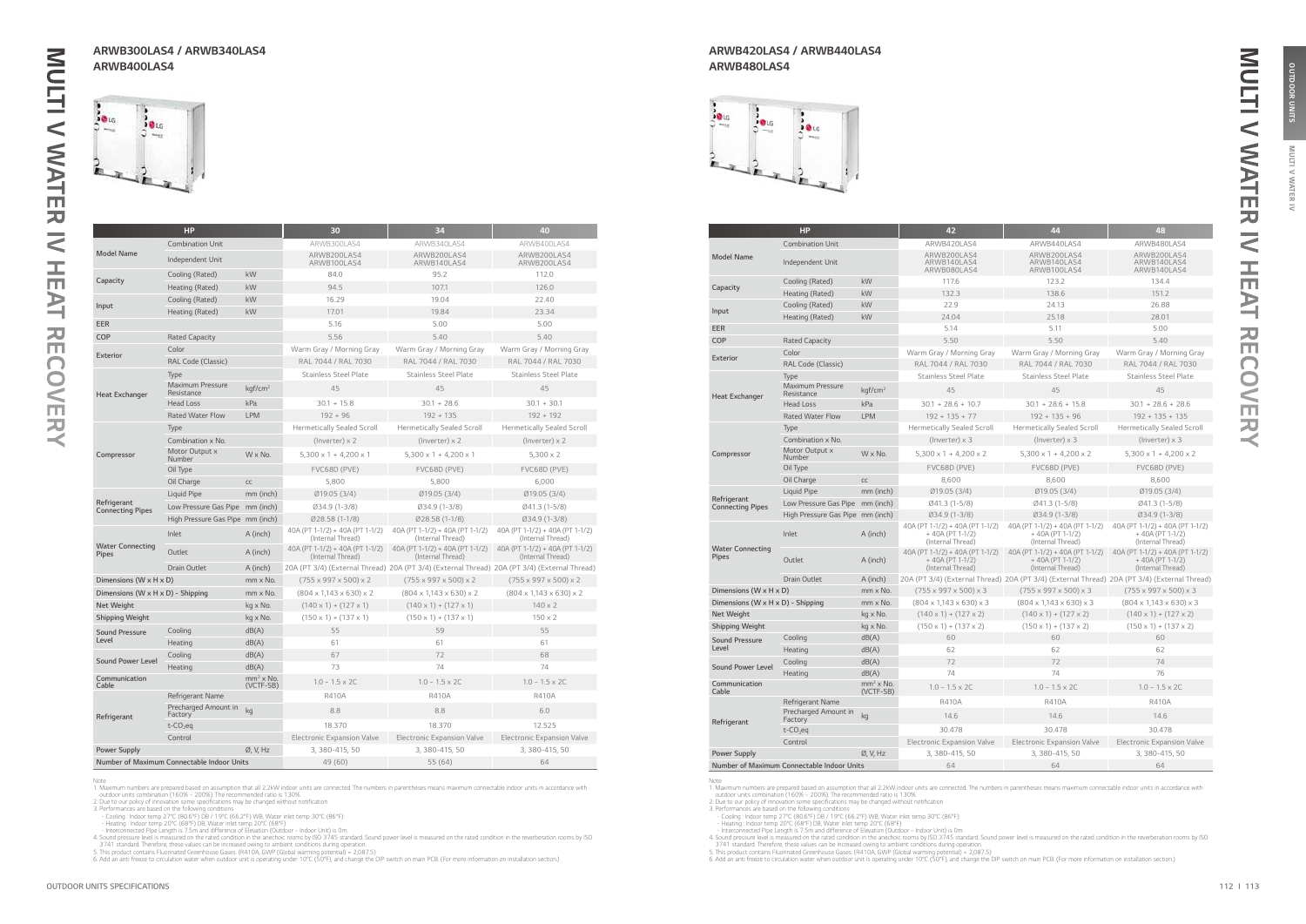**MULTI** 

**IAN** 虱  $\tilde{z}$ 

OUTDOOR UNITS

|                                            | <b>HP</b>                             |                          | 30                                                   | 34                                                                                           | 40                                                   |
|--------------------------------------------|---------------------------------------|--------------------------|------------------------------------------------------|----------------------------------------------------------------------------------------------|------------------------------------------------------|
|                                            | <b>Combination Unit</b>               |                          | ARWB300LAS4                                          | ARWB340LAS4                                                                                  | ARWB400LAS4                                          |
| <b>Model Name</b>                          | Independent Unit                      |                          | ARWB200LAS4<br>ARWB100LAS4                           | ARWB200LAS4<br>ARWB140LAS4                                                                   | ARWB200LAS4<br>ARWB200LAS4                           |
| Capacity                                   | Cooling (Rated)                       | kW                       | 84.0                                                 | 95.2                                                                                         | 112.0                                                |
|                                            | Heating (Rated)                       | kW                       | 94.5                                                 | 107.1                                                                                        | 126.0                                                |
| Input                                      | Cooling (Rated)                       | kW                       | 16.29                                                | 19.04                                                                                        | 22.40                                                |
|                                            | Heating (Rated)                       | kW                       | 17.01                                                | 19.84                                                                                        | 23.34                                                |
| <b>EER</b>                                 |                                       |                          | 5.16                                                 | 5.00                                                                                         | 5.00                                                 |
| COP                                        | <b>Rated Capacity</b>                 |                          | 5.56                                                 | 5.40                                                                                         | 5.40                                                 |
| Exterior                                   | Color                                 |                          | Warm Gray / Morning Gray                             | Warm Gray / Morning Gray                                                                     | Warm Gray / Morning Gray                             |
|                                            | RAL Code (Classic)                    |                          | RAL 7044 / RAL 7030                                  | RAL 7044 / RAL 7030                                                                          | RAL 7044 / RAL 7030                                  |
|                                            | Type                                  |                          | <b>Stainless Steel Plate</b>                         | <b>Stainless Steel Plate</b>                                                                 | <b>Stainless Steel Plate</b>                         |
| <b>Heat Exchanger</b>                      | <b>Maximum Pressure</b><br>Resistance | kgf/cm <sup>2</sup>      | 45                                                   | 45                                                                                           | 45                                                   |
|                                            | <b>Head Loss</b>                      | kPa                      | $30.1 + 15.8$                                        | $30.1 + 28.6$                                                                                | $30.1 + 30.1$                                        |
|                                            | <b>Rated Water Flow</b>               | <b>LPM</b>               | $192 + 96$                                           | $192 + 135$                                                                                  | $192 + 192$                                          |
|                                            | Type                                  |                          | <b>Hermetically Sealed Scroll</b>                    | <b>Hermetically Sealed Scroll</b>                                                            | <b>Hermetically Sealed Scroll</b>                    |
|                                            | Combination x No.                     |                          | $($ lnverter $) \times 2$                            | (Inverter) $\times$ 2                                                                        | $($ lnverter $) \times 2$                            |
| Compressor                                 | Motor Output x<br>Number              | W x No.                  | $5,300 \times 1 + 4,200 \times 1$                    | $5,300 \times 1 + 4,200 \times 1$                                                            | $5,300 \times 2$                                     |
|                                            | Oil Type                              |                          | FVC68D (PVE)                                         | FVC68D (PVE)                                                                                 | FVC68D (PVE)                                         |
|                                            | Oil Charge                            | CC                       | 5,800                                                | 5,800                                                                                        | 6,000                                                |
|                                            | Liquid Pipe                           | mm (inch)                | Ø19.05 (3/4)                                         | Ø19.05 (3/4)                                                                                 | Ø19.05 (3/4)                                         |
| Refrigerant<br><b>Connecting Pipes</b>     | Low Pressure Gas Pipe mm (inch)       |                          | Ø34.9 (1-3/8)                                        | Ø34.9 (1-3/8)                                                                                | Ø41.3 (1-5/8)                                        |
|                                            | High Pressure Gas Pipe mm (inch)      |                          | Ø28.58 (1-1/8)                                       | Ø28.58 (1-1/8)                                                                               | 034.9 (1-3/8)                                        |
|                                            | Inlet                                 | A (inch)                 | 40A (PT 1-1/2) + 40A (PT 1-1/2)<br>(Internal Thread) | 40A (PT 1-1/2) + 40A (PT 1-1/2)<br>(Internal Thread)                                         | 40A (PT 1-1/2) + 40A (PT 1-1/2)<br>(Internal Thread) |
| <b>Water Connecting</b><br>Pipes           | Outlet                                | A (inch)                 | 40A (PT 1-1/2) + 40A (PT 1-1/2)<br>(Internal Thread) | 40A (PT 1-1/2) + 40A (PT 1-1/2)<br>(Internal Thread)                                         | 40A (PT 1-1/2) + 40A (PT 1-1/2)<br>(Internal Thread) |
|                                            | <b>Drain Outlet</b>                   | A (inch)                 |                                                      | 20A (PT 3/4) (External Thread) 20A (PT 3/4) (External Thread) 20A (PT 3/4) (External Thread) |                                                      |
| Dimensions (W x H x D)                     |                                       | mm x No.                 | $(755 \times 997 \times 500) \times 2$               | $(755 \times 997 \times 500) \times 2$                                                       | $(755 \times 997 \times 500) \times 2$               |
| Dimensions (W x H x D) - Shipping          |                                       | mm x No.                 | $(804 \times 1,143 \times 630) \times 2$             | $(804 \times 1,143 \times 630) \times 2$                                                     | $(804 \times 1,143 \times 630) \times 2$             |
| <b>Net Weight</b>                          |                                       | kg x No.                 | $(140 \times 1) + (127 \times 1)$                    | $(140 \times 1) + (127 \times 1)$                                                            | $140 \times 2$                                       |
| <b>Shipping Weight</b>                     |                                       | kg x No.                 | $(150 \times 1) + (137 \times 1)$                    | $(150 \times 1) + (137 \times 1)$                                                            | $150 \times 2$                                       |
| <b>Sound Pressure</b>                      | Cooling                               | dB(A)                    | 55                                                   | 59                                                                                           | 55                                                   |
| Level                                      | Heating                               | dB(A)                    | 61                                                   | 61                                                                                           | 61                                                   |
| <b>Sound Power Level</b>                   | Cooling                               | dB(A)                    | 67                                                   | 72                                                                                           | 68                                                   |
|                                            | Heating                               | dB(A)                    | 73                                                   | 74                                                                                           | 74                                                   |
| Communication<br>Cable                     |                                       | $mm2$ x No.<br>(VCTF-SB) | $1.0 - 1.5 \times 2C$                                | $1.0 - 1.5 \times 2C$                                                                        | $1.0 - 1.5 \times 2C$                                |
|                                            | Refrigerant Name                      |                          | <b>R410A</b>                                         | <b>R410A</b>                                                                                 | <b>R410A</b>                                         |
| Refrigerant                                | Precharged Amount in<br>Factory       | kg                       | 8.8                                                  | 8.8                                                                                          | 6.0                                                  |
|                                            | $t$ -CO <sub>2</sub> eq               |                          | 18.370                                               | 18.370                                                                                       | 12.525                                               |
|                                            | Control                               |                          | <b>Electronic Expansion Valve</b>                    | <b>Electronic Expansion Valve</b>                                                            | <b>Electronic Expansion Valve</b>                    |
| <b>Power Supply</b>                        |                                       | Ø, V, Hz                 | 3, 380-415, 50                                       | 3, 380-415, 50                                                                               | 3, 380-415, 50                                       |
| Number of Maximum Connectable Indoor Units |                                       |                          | 49 (60)                                              | 55(64)                                                                                       | 64                                                   |

Note<br>
1. Maximum numbers are prepared based on assumption that all 2.2kW indoor units are connected. The numbers in parentheses means maximum connectable indoor units in accordance with<br>
1. Maximum numbers are prepared bas

|                                        | <b>HP</b>                                  |                          | 42                                                                        | 44                                                                                           | 48                                                                        |
|----------------------------------------|--------------------------------------------|--------------------------|---------------------------------------------------------------------------|----------------------------------------------------------------------------------------------|---------------------------------------------------------------------------|
|                                        | <b>Combination Unit</b>                    |                          | ARWB420LAS4                                                               | ARWB440LAS4                                                                                  | ARWB480LAS4                                                               |
| <b>Model Name</b>                      | Independent Unit                           |                          | ARWB200LAS4<br>ARWB140LAS4<br>ARWB080LAS4                                 | ARWB200LAS4<br>ARWB140LAS4<br>ARWB100LAS4                                                    | ARWB200LAS4<br>ARWB140LAS4<br>ARWB140LAS4                                 |
| Capacity                               | Cooling (Rated)                            | kW                       | 117.6                                                                     | 123.2                                                                                        | 134.4                                                                     |
|                                        | Heating (Rated)                            | kW                       | 132.3                                                                     | 138.6                                                                                        | 151.2                                                                     |
|                                        | Cooling (Rated)                            | kW                       | 22.9                                                                      | 24.13                                                                                        | 26.88                                                                     |
| Input                                  | Heating (Rated)                            | kW                       | 24.04                                                                     | 25.18                                                                                        | 28.01                                                                     |
| EER                                    |                                            |                          | 5.14                                                                      | 5.11                                                                                         | 5.00                                                                      |
| COP                                    | <b>Rated Capacity</b>                      |                          | 5.50                                                                      | 5.50                                                                                         | 5.40                                                                      |
| <b>Exterior</b>                        | Color                                      |                          | Warm Gray / Morning Gray                                                  | Warm Gray / Morning Gray                                                                     | Warm Gray / Morning Gray                                                  |
|                                        | RAL Code (Classic)                         |                          | RAL 7044 / RAL 7030                                                       | RAL 7044 / RAL 7030                                                                          | RAL 7044 / RAL 7030                                                       |
|                                        | Type                                       |                          | <b>Stainless Steel Plate</b>                                              | <b>Stainless Steel Plate</b>                                                                 | <b>Stainless Steel Plate</b>                                              |
| <b>Heat Exchanger</b>                  | <b>Maximum Pressure</b><br>Resistance      | kgf/cm <sup>2</sup>      | 45                                                                        | 45                                                                                           | 45                                                                        |
|                                        | <b>Head Loss</b>                           | kPa                      | $30.1 + 28.6 + 10.7$                                                      | $30.1 + 28.6 + 15.8$                                                                         | $30.1 + 28.6 + 28.6$                                                      |
|                                        | <b>Rated Water Flow</b>                    | <b>LPM</b>               | $192 + 135 + 77$                                                          | $192 + 135 + 96$                                                                             | $192 + 135 + 135$                                                         |
|                                        | Type                                       |                          | <b>Hermetically Sealed Scroll</b>                                         | <b>Hermetically Sealed Scroll</b>                                                            | <b>Hermetically Sealed Scroll</b>                                         |
|                                        | Combination x No.                          |                          | (Inverter) $\times$ 3                                                     | (Inverter) $\times$ 3                                                                        | (Inverter) $\times$ 3                                                     |
| Compressor                             | Motor Output x<br>Number                   | $W \times No.$           | $5,300 \times 1 + 4,200 \times 2$                                         | $5,300 \times 1 + 4,200 \times 2$                                                            | $5,300 \times 1 + 4,200 \times 2$                                         |
|                                        | Oil Type                                   |                          | FVC68D (PVE)                                                              | FVC68D (PVE)                                                                                 | FVC68D (PVE)                                                              |
|                                        | Oil Charge                                 | cc                       | 8,600                                                                     | 8,600                                                                                        | 8,600                                                                     |
|                                        | Liquid Pipe                                | mm (inch)                | Ø19.05 (3/4)                                                              | Ø19.05 (3/4)                                                                                 | Ø19.05 (3/4)                                                              |
| Refrigerant<br><b>Connecting Pipes</b> | Low Pressure Gas Pipe mm (inch)            |                          | Ø41.3 (1-5/8)                                                             | Ø41.3 (1-5/8)                                                                                | Ø41.3 (1-5/8)                                                             |
|                                        | High Pressure Gas Pipe mm (inch)           |                          | Ø34.9 (1-3/8)                                                             | Ø34.9 (1-3/8)                                                                                | Ø34.9 (1-3/8)                                                             |
|                                        | Inlet                                      | A (inch)                 | 40A (PT 1-1/2) + 40A (PT 1-1/2)<br>$+40A (PT 1-1/2)$<br>(Internal Thread) | 40A (PT 1-1/2) + 40A (PT 1-1/2)<br>$+40A (PT 1-1/2)$<br>(Internal Thread)                    | 40A (PT 1-1/2) + 40A (PT 1-1/2)<br>$+40A (PT 1-1/2)$<br>(Internal Thread) |
| <b>Water Connecting</b><br>Pipes       | Outlet                                     | A (inch)                 | 40A (PT 1-1/2) + 40A (PT 1-1/2)<br>$+40A (PT 1-1/2)$<br>(Internal Thread) | 40A (PT 1-1/2) + 40A (PT 1-1/2)<br>$+40A (PT 1-1/2)$<br>(Internal Thread)                    | 40A (PT 1-1/2) + 40A (PT 1-1/2)<br>$+40A (PT 1-1/2)$<br>(Internal Thread) |
|                                        | <b>Drain Outlet</b>                        | A (inch)                 |                                                                           | 20A (PT 3/4) (External Thread) 20A (PT 3/4) (External Thread) 20A (PT 3/4) (External Thread) |                                                                           |
| Dimensions (W x H x D)                 |                                            | mm x No.                 | $(755 \times 997 \times 500) \times 3$                                    | $(755 \times 997 \times 500) \times 3$                                                       | $(755 \times 997 \times 500) \times 3$                                    |
| Dimensions (W x H x D) - Shipping      |                                            | mm x No.                 | $(804 \times 1,143 \times 630) \times 3$                                  | $(804 \times 1,143 \times 630) \times 3$                                                     | $(804 \times 1,143 \times 630) \times 3$                                  |
| Net Weight                             |                                            | kg x No.                 | $(140 \times 1) + (127 \times 2)$                                         | $(140 \times 1) + (127 \times 2)$                                                            | $(140 \times 1) + (127 \times 2)$                                         |
| Shipping Weight                        |                                            | kg x No.                 | $(150 \times 1) + (137 \times 2)$                                         | $(150 \times 1) + (137 \times 2)$                                                            | $(150 \times 1) + (137 \times 2)$                                         |
| <b>Sound Pressure</b>                  | Cooling                                    | dB(A)                    | 60                                                                        | 60                                                                                           | 60                                                                        |
| Level                                  | Heating                                    | dB(A)                    | 62                                                                        | 62                                                                                           | 62                                                                        |
| <b>Sound Power Level</b>               | Cooling                                    | dB(A)                    | 72                                                                        | 72                                                                                           | 74                                                                        |
|                                        | Heating                                    | dB(A)                    | 74                                                                        | 74                                                                                           | 76                                                                        |
| Communication<br>Cable                 |                                            | $mm2$ x No.<br>(VCTF-SB) | $1.0 - 1.5 \times 2C$                                                     | $1.0 - 1.5 \times 2C$                                                                        | $1.0 - 1.5 \times 2C$                                                     |
|                                        | Refrigerant Name                           |                          | <b>R410A</b>                                                              | R410A                                                                                        | <b>R410A</b>                                                              |
| Refrigerant                            | Precharged Amount in<br>Factory            | kg                       | 14.6                                                                      | 14.6                                                                                         | 14.6                                                                      |
|                                        | $t$ -CO <sub>2</sub> eq                    |                          | 30.478                                                                    | 30.478                                                                                       | 30.478                                                                    |
|                                        | Control                                    |                          | <b>Electronic Expansion Valve</b>                                         | <b>Electronic Expansion Valve</b>                                                            | <b>Electronic Expansion Valve</b>                                         |
| <b>Power Supply</b>                    |                                            | Ø, V, Hz                 | 3, 380-415, 50                                                            | 3, 380-415, 50                                                                               | 3, 380-415, 50                                                            |
|                                        | Number of Maximum Connectable Indoor Units |                          | 64                                                                        | 64                                                                                           | 64                                                                        |

Note<br>
1. Maximum numbers are prepared based on assumption that all 2.2kW indoor units are connected. The numbers in parentheses means maximum connectable indoor units in accordance with<br>
1. Maximum numbers are prepared bas

### ARWB300LAS4 / ARWB340LAS4 ARWB400LAS4



### ARWB420LAS4 / ARWB440LAS4 ARWB480LAS4



刀  $\prec$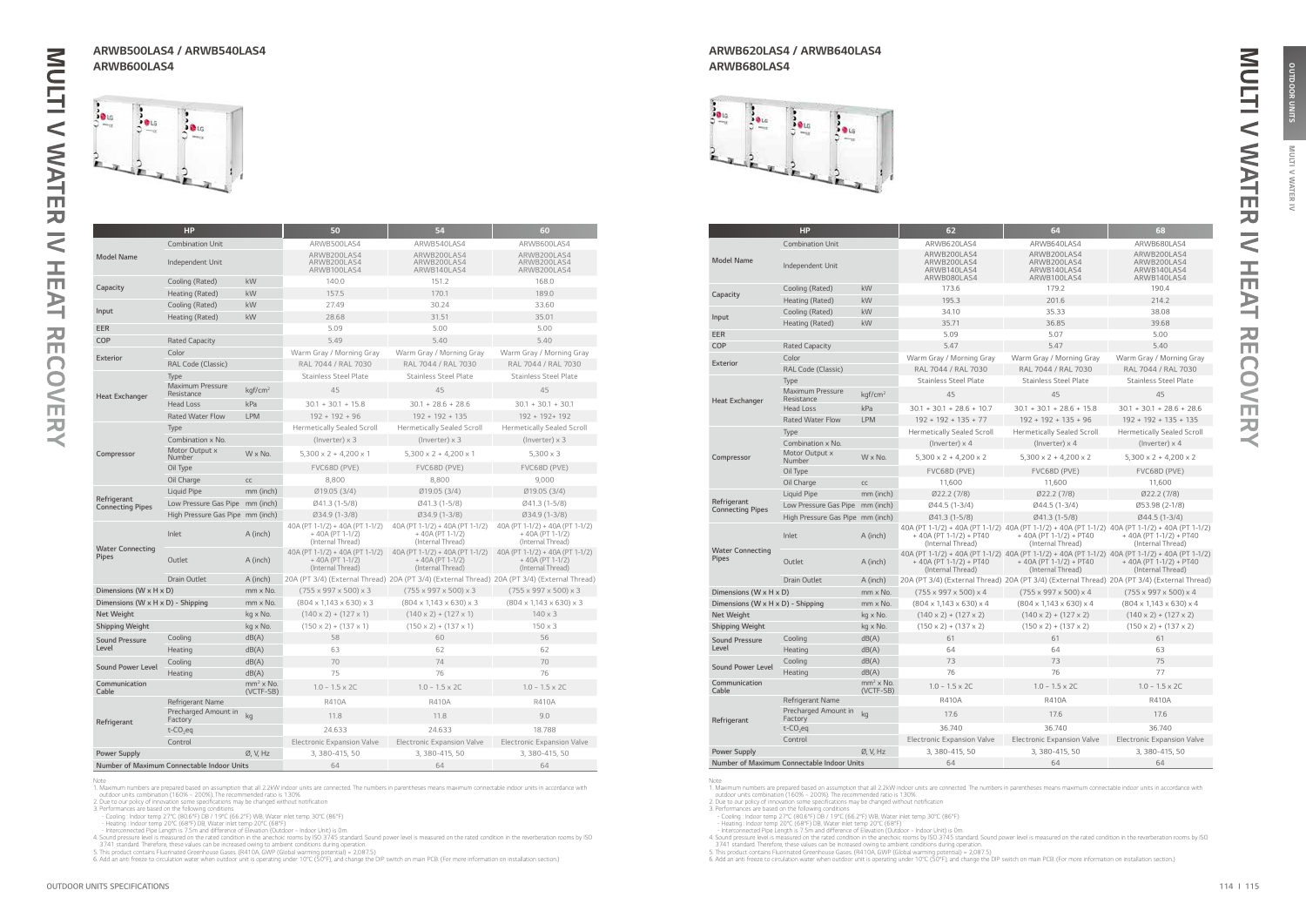**IAN** 虱  $\tilde{z}$ 

|                                        | HP                                         |                          | 50                                                                        | 54                                                                                           | 60                                                                        |
|----------------------------------------|--------------------------------------------|--------------------------|---------------------------------------------------------------------------|----------------------------------------------------------------------------------------------|---------------------------------------------------------------------------|
|                                        | <b>Combination Unit</b>                    |                          | ARWB500LAS4                                                               | ARWB540LAS4                                                                                  | ARWB600LAS4                                                               |
| <b>Model Name</b>                      | Independent Unit                           |                          | ARWB200LAS4<br>ARWB200LAS4<br>ARWB100LAS4                                 | ARWB200LAS4<br>ARWB200LAS4<br>ARWB140LAS4                                                    | ARWB200LAS4<br>ARWB200LAS4<br>ARWB200LAS4                                 |
|                                        | Cooling (Rated)                            | kW                       | 140.0                                                                     | 151.2                                                                                        | 168.0                                                                     |
| Capacity                               | Heating (Rated)                            | kW                       | 157.5                                                                     | 170.1                                                                                        | 189.0                                                                     |
| Input                                  | Cooling (Rated)                            | kW                       | 27.49                                                                     | 30.24                                                                                        | 33.60                                                                     |
|                                        | Heating (Rated)                            | kW                       | 28.68                                                                     | 31.51                                                                                        | 35.01                                                                     |
| EER                                    |                                            |                          | 5.09                                                                      | 5.00                                                                                         | 5.00                                                                      |
| <b>COP</b>                             | <b>Rated Capacity</b>                      |                          | 5.49                                                                      | 5.40                                                                                         | 5.40                                                                      |
| <b>Exterior</b>                        | Color                                      |                          | Warm Gray / Morning Gray                                                  | Warm Gray / Morning Gray                                                                     | Warm Gray / Morning Gray                                                  |
|                                        | RAL Code (Classic)                         |                          | RAL 7044 / RAL 7030                                                       | RAL 7044 / RAL 7030                                                                          | RAL 7044 / RAL 7030                                                       |
|                                        | <b>Type</b>                                |                          | <b>Stainless Steel Plate</b>                                              | <b>Stainless Steel Plate</b>                                                                 | <b>Stainless Steel Plate</b>                                              |
| <b>Heat Exchanger</b>                  | <b>Maximum Pressure</b><br>Resistance      | kqf/cm <sup>2</sup>      | 45                                                                        | 45                                                                                           | 45                                                                        |
|                                        | <b>Head Loss</b>                           | kPa                      | $30.1 + 30.1 + 15.8$                                                      | $30.1 + 28.6 + 28.6$                                                                         | $30.1 + 30.1 + 30.1$                                                      |
|                                        | <b>Rated Water Flow</b>                    | <b>LPM</b>               | $192 + 192 + 96$                                                          | $192 + 192 + 135$                                                                            | 192 + 192+ 192                                                            |
|                                        | Type                                       |                          | <b>Hermetically Sealed Scroll</b>                                         | <b>Hermetically Sealed Scroll</b>                                                            | <b>Hermetically Sealed Scroll</b>                                         |
|                                        | Combination x No.                          |                          | $($ lnverter $) \times 3$                                                 | $(Inverter) \times 3$                                                                        | $($ lnverter $) \times 3$                                                 |
| Compressor                             | Motor Output x<br>Number                   | W x No.                  | $5,300 \times 2 + 4,200 \times 1$                                         | $5,300 \times 2 + 4,200 \times 1$                                                            | $5,300 \times 3$                                                          |
|                                        | Oil Type                                   |                          | FVC68D (PVE)                                                              | FVC68D (PVE)                                                                                 | FVC68D (PVE)                                                              |
|                                        | Oil Charge                                 | CC                       | 8,800                                                                     | 8,800                                                                                        | 9.000                                                                     |
|                                        | Liquid Pipe                                | mm (inch)                | Ø19.05 (3/4)                                                              | Ø19.05 (3/4)                                                                                 | Ø19.05 (3/4)                                                              |
| Refrigerant<br><b>Connecting Pipes</b> | Low Pressure Gas Pipe mm (inch)            |                          | Ø41.3 (1-5/8)                                                             | Ø41.3 (1-5/8)                                                                                | $Ø41.3(1-5/8)$                                                            |
|                                        | High Pressure Gas Pipe mm (inch)           |                          | Ø34.9 (1-3/8)                                                             | Ø34.9 (1-3/8)                                                                                | Ø34.9 (1-3/8)                                                             |
|                                        | Inlet                                      | A (inch)                 | 40A (PT 1-1/2) + 40A (PT 1-1/2)<br>$+40A (PT 1-1/2)$<br>(Internal Thread) | 40A (PT 1-1/2) + 40A (PT 1-1/2)<br>+40A (PT 1-1/2)<br>(Internal Thread)                      | 40A (PT 1-1/2) + 40A (PT 1-1/2)<br>$+40A (PT 1-1/2)$<br>(Internal Thread) |
| <b>Water Connecting</b><br>Pipes       | Outlet                                     | A (inch)                 | 40A (PT 1-1/2) + 40A (PT 1-1/2)<br>$+40A (PT 1-1/2)$<br>(Internal Thread) | 40A (PT 1-1/2) + 40A (PT 1-1/2)<br>+ 40A (PT 1-1/2)<br>(Internal Thread)                     | 40A (PT 1-1/2) + 40A (PT 1-1/2)<br>$+40A (PT 1-1/2)$<br>(Internal Thread) |
|                                        | <b>Drain Outlet</b>                        | A (inch)                 |                                                                           | 20A (PT 3/4) (External Thread) 20A (PT 3/4) (External Thread) 20A (PT 3/4) (External Thread) |                                                                           |
| Dimensions (W x H x D)                 |                                            | mm x No.                 | $(755 \times 997 \times 500) \times 3$                                    | $(755 \times 997 \times 500) \times 3$                                                       | $(755 \times 997 \times 500) \times 3$                                    |
| Dimensions (W x H x D) - Shipping      |                                            | mm x No.                 | $(804 \times 1.143 \times 630) \times 3$                                  | $(804 \times 1,143 \times 630) \times 3$                                                     | $(804 \times 1,143 \times 630) \times 3$                                  |
| Net Weight                             |                                            | kg x No.                 | $(140 \times 2) + (127 \times 1)$                                         | $(140 \times 2) + (127 \times 1)$                                                            | $140 \times 3$                                                            |
| <b>Shipping Weight</b>                 |                                            | kg x No.                 | $(150 \times 2) + (137 \times 1)$                                         | $(150 \times 2) + (137 \times 1)$                                                            | $150 \times 3$                                                            |
| <b>Sound Pressure</b>                  | Cooling                                    | dB(A)                    | 58                                                                        | 60                                                                                           | 56                                                                        |
| Level                                  | Heating                                    | dB(A)                    | 63                                                                        | 62                                                                                           | 62                                                                        |
| <b>Sound Power Level</b>               | Cooling                                    | dB(A)                    | 70                                                                        | 74                                                                                           | 70                                                                        |
|                                        | Heating                                    | dB(A)                    | 75                                                                        | 76                                                                                           | 76                                                                        |
| Communication<br>Cable                 |                                            | $mm2$ x No.<br>(VCTF-SB) | $1.0 - 1.5 \times 2C$                                                     | $1.0 - 1.5 \times 2C$                                                                        | $1.0 - 1.5 \times 2C$                                                     |
|                                        | Refrigerant Name                           |                          | <b>R410A</b>                                                              | R410A                                                                                        | <b>R410A</b>                                                              |
| Refrigerant                            | Precharged Amount in<br>Factory            | kg                       | 11.8                                                                      | 11.8                                                                                         | 9.0                                                                       |
|                                        | $t$ -CO <sub>2</sub> eq                    |                          | 24.633                                                                    | 24.633                                                                                       | 18.788                                                                    |
|                                        | Control                                    |                          | Electronic Expansion Valve                                                | <b>Electronic Expansion Valve</b>                                                            | <b>Electronic Expansion Valve</b>                                         |
| <b>Power Supply</b>                    |                                            | Ø, V, Hz                 | 3, 380-415, 50                                                            | 3, 380-415, 50                                                                               | 3, 380-415, 50                                                            |
|                                        | Number of Maximum Connectable Indoor Units |                          | 64                                                                        | 64                                                                                           | 64                                                                        |

Note<br>
1. Maximum numbers are prepared based on assumption that all 2.2kW indoor units are connected. The numbers in parentheses means maximum connectable indoor units in accordance with<br>
1. Maximum numbers are prepared bas

|                                         | HP                                         |                          | 62                                                       | 64                                                                                                                                                | 68                                                       |
|-----------------------------------------|--------------------------------------------|--------------------------|----------------------------------------------------------|---------------------------------------------------------------------------------------------------------------------------------------------------|----------------------------------------------------------|
|                                         | <b>Combination Unit</b>                    |                          | ARWB620LAS4                                              | ARWB640LAS4                                                                                                                                       | ARWB680LAS4                                              |
| <b>Model Name</b>                       | Independent Unit                           |                          | ARWB200LAS4<br>ARWB200LAS4<br>ARWB140LAS4<br>ARWB080LAS4 | ARWB200LAS4<br>ARWB200LAS4<br>ARWB140LAS4<br>ARWB100LAS4                                                                                          | ARWB200LAS4<br>ARWB200LAS4<br>ARWB140LAS4<br>ARWB140LAS4 |
|                                         | Cooling (Rated)                            | kW                       | 173.6                                                    | 179.2                                                                                                                                             | 190.4                                                    |
| Capacity                                | Heating (Rated)                            | kW                       | 195.3                                                    | 201.6                                                                                                                                             | 214.2                                                    |
|                                         | Cooling (Rated)                            | kW                       | 34.10                                                    | 35.33                                                                                                                                             | 38.08                                                    |
| Input                                   | Heating (Rated)                            | kW                       | 35.71                                                    | 36.85                                                                                                                                             | 39.68                                                    |
| EER                                     |                                            |                          | 5.09                                                     | 5.07                                                                                                                                              | 5.00                                                     |
| COP                                     | <b>Rated Capacity</b>                      |                          | 5.47                                                     | 5.47                                                                                                                                              | 5.40                                                     |
|                                         | Color                                      |                          | Warm Gray / Morning Gray                                 | Warm Gray / Morning Gray                                                                                                                          | Warm Gray / Morning Gray                                 |
| Exterior                                | RAL Code (Classic)                         |                          | RAL 7044 / RAL 7030                                      | RAL 7044 / RAL 7030                                                                                                                               | RAL 7044 / RAL 7030                                      |
|                                         | Type                                       |                          | <b>Stainless Steel Plate</b>                             | <b>Stainless Steel Plate</b>                                                                                                                      | <b>Stainless Steel Plate</b>                             |
| <b>Heat Exchanger</b>                   | Maximum Pressure<br>Resistance             | kgf/cm <sup>2</sup>      | 45                                                       | 45                                                                                                                                                | 45                                                       |
|                                         | <b>Head Loss</b>                           | kPa                      | $30.1 + 30.1 + 28.6 + 10.7$                              | $30.1 + 30.1 + 28.6 + 15.8$                                                                                                                       | $30.1 + 30.1 + 28.6 + 28.6$                              |
|                                         | <b>Rated Water Flow</b>                    | <b>LPM</b>               | $192 + 192 + 135 + 77$                                   | $192 + 192 + 135 + 96$                                                                                                                            | $192 + 192 + 135 + 135$                                  |
|                                         | Type                                       |                          | <b>Hermetically Sealed Scroll</b>                        | <b>Hermetically Sealed Scroll</b>                                                                                                                 | <b>Hermetically Sealed Scroll</b>                        |
|                                         | Combination x No.                          |                          | (Inverter) $\times$ 4                                    | (Inverter) $\times$ 4                                                                                                                             | (Inverter) $\times$ 4                                    |
| Compressor                              | Motor Output x<br>Number                   | $W \times No.$           | $5.300 \times 2 + 4.200 \times 2$                        | $5.300 \times 2 + 4.200 \times 2$                                                                                                                 | $5.300 \times 2 + 4.200 \times 2$                        |
|                                         | Oil Type                                   |                          | FVC68D (PVE)                                             | FVC68D (PVE)                                                                                                                                      | FVC68D (PVE)                                             |
|                                         | Oil Charge                                 | CC                       | 11,600                                                   | 11,600                                                                                                                                            | 11,600                                                   |
|                                         | Liquid Pipe                                | mm (inch)                | Ø22.2(7/8)                                               | Ø22.2(7/8)                                                                                                                                        | Ø22.2(7/8)                                               |
| Refrigerant<br><b>Connecting Pipes</b>  | Low Pressure Gas Pipe mm (inch)            |                          | Ø44.5 (1-3/4)                                            | Ø44.5 (1-3/4)                                                                                                                                     | Ø53.98 (2-1/8)                                           |
|                                         | High Pressure Gas Pipe mm (inch)           |                          | Ø41.3 (1-5/8)                                            | Ø41.3 (1-5/8)                                                                                                                                     | Ø44.5 (1-3/4)                                            |
|                                         | Inlet                                      | A (inch)                 | + 40A (PT 1-1/2) + PT40<br>(Internal Thread)             | 40A (PT 1-1/2) + 40A (PT 1-1/2) 40A (PT 1-1/2) + 40A (PT 1-1/2) 40A (PT 1-1/2) + 40A (PT 1-1/2)<br>+ 40A (PT 1-1/2) + PT40<br>(Internal Thread)   | + 40A (PT 1-1/2) + PT40<br>(Internal Thread)             |
| <b>Water Connecting</b><br><b>Pipes</b> | Outlet                                     | A (inch)                 | $+ 40A (PT 1-1/2) + PT40$<br>(Internal Thread)           | 40A (PT 1-1/2) + 40A (PT 1-1/2) 40A (PT 1-1/2) + 40A (PT 1-1/2) 40A (PT 1-1/2) + 40A (PT 1-1/2)<br>$+ 40A (PT 1-1/2) + PT40$<br>(Internal Thread) | $+ 40A (PT 1-1/2) + PT40$<br>(Internal Thread)           |
|                                         | <b>Drain Outlet</b>                        | A (inch)                 |                                                          | 20A (PT 3/4) (External Thread) 20A (PT 3/4) (External Thread) 20A (PT 3/4) (External Thread)                                                      |                                                          |
| Dimensions (W x H x D)                  |                                            | mm x No.                 | $(755 \times 997 \times 500) \times 4$                   | $(755 \times 997 \times 500) \times 4$                                                                                                            | $(755 \times 997 \times 500) \times 4$                   |
| Dimensions (W x H x D) - Shipping       |                                            | mm x No.                 | $(804 \times 1,143 \times 630) \times 4$                 | $(804 \times 1.143 \times 630) \times 4$                                                                                                          | $(804 \times 1,143 \times 630) \times 4$                 |
| Net Weight                              |                                            | kg x No.                 | $(140 \times 2) + (127 \times 2)$                        | $(140 \times 2) + (127 \times 2)$                                                                                                                 | $(140 \times 2) + (127 \times 2)$                        |
| <b>Shipping Weight</b>                  |                                            | kg x No.                 | $(150 \times 2) + (137 \times 2)$                        | $(150 \times 2) + (137 \times 2)$                                                                                                                 | $(150 \times 2) + (137 \times 2)$                        |
| <b>Sound Pressure</b>                   | Cooling                                    | dB(A)                    | 61                                                       | 61                                                                                                                                                | 61                                                       |
| Level                                   | Heating                                    | dB(A)                    | 64                                                       | 64                                                                                                                                                | 63                                                       |
| Sound Power Level                       | Cooling                                    | dB(A)                    | 73                                                       | 73                                                                                                                                                | 75                                                       |
|                                         | Heating                                    | dB(A)                    | 76                                                       | 76                                                                                                                                                | 77                                                       |
| Communication<br>Cable                  |                                            | $mm2$ x No.<br>(VCTF-SB) | $1.0 - 1.5 \times 2C$                                    | $1.0 - 1.5 \times 2C$                                                                                                                             | $1.0 - 1.5 \times 2C$                                    |
|                                         | Refrigerant Name                           |                          | <b>R410A</b>                                             | <b>R410A</b>                                                                                                                                      | <b>R410A</b>                                             |
| Refrigerant                             | Precharged Amount in<br>Factory            | kg                       | 17.6                                                     | 17.6                                                                                                                                              | 17.6                                                     |
|                                         | $t$ -CO <sub>2</sub> eq                    |                          | 36.740                                                   | 36.740                                                                                                                                            | 36.740                                                   |
|                                         | Control                                    |                          | <b>Electronic Expansion Valve</b>                        | <b>Electronic Expansion Valve</b>                                                                                                                 | <b>Electronic Expansion Valve</b>                        |
| <b>Power Supply</b>                     |                                            | Ø, V, Hz                 | 3, 380-415, 50                                           | 3, 380-415, 50                                                                                                                                    | 3, 380-415, 50                                           |
|                                         | Number of Maximum Connectable Indoor Units |                          | 64                                                       | 64                                                                                                                                                | 64                                                       |

Note<br>
1. Maximum numbers are prepared based on assumption that all 2.2kW indoor units are connected. The numbers in parentheses means maximum connectable indoor units in accordance with<br>
1. Maximum numbers are prepared bas

### ARWB500LAS4 / ARWB540LAS4 ARWB600LAS4



### ARWB620LAS4 / ARWB640LAS4 ARWB680LAS4



MULTI V WATER IV HEAT RECOVERY

H

而

 $\mathbf{E}$ 

刀 m

 $\bigcap$  $\bigcirc$  $\leq$ m 一  $\prec$ 

 $\overline{a}$ 

MULTI V WATER